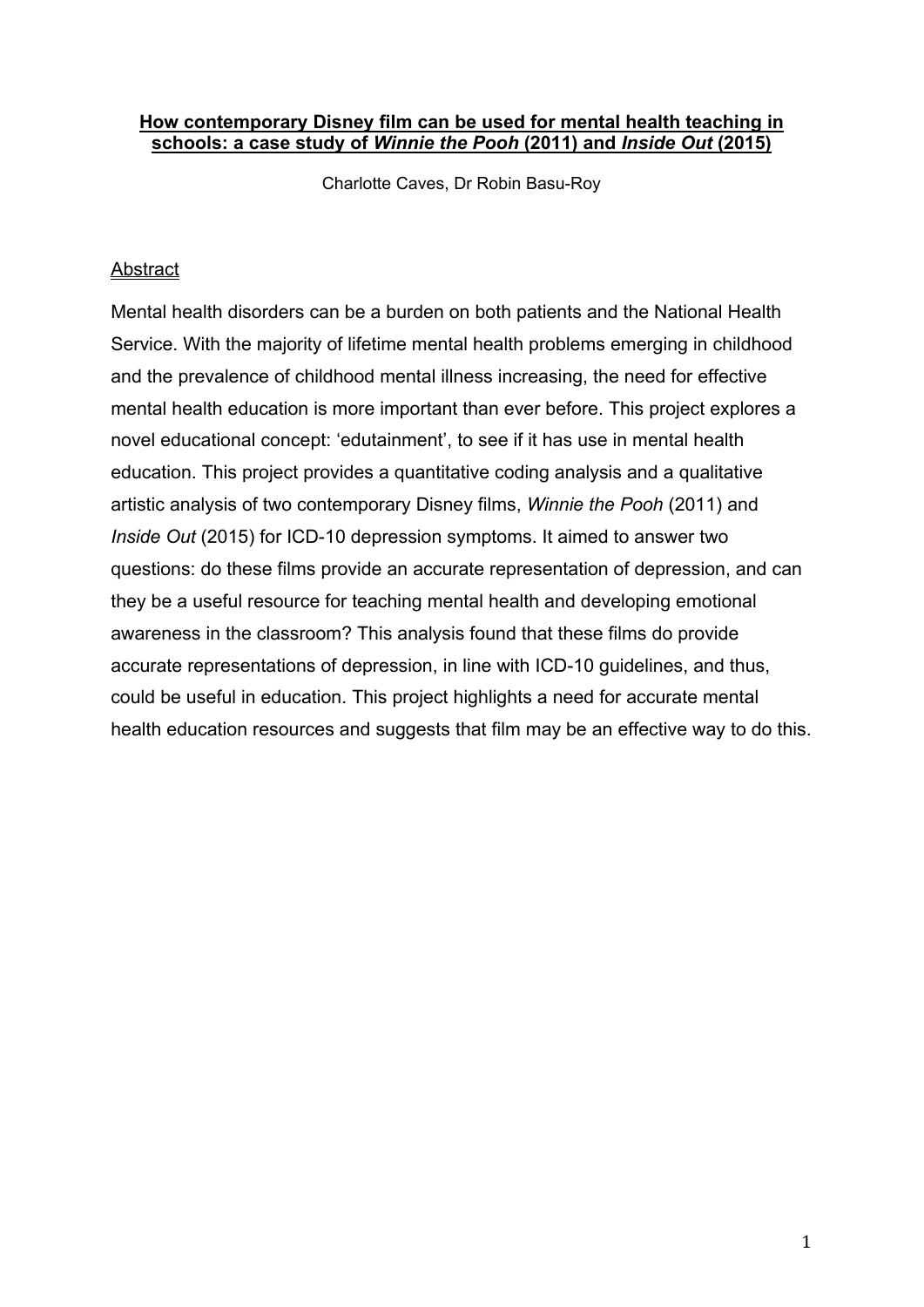## **How contemporary Disney film can be used for mental health teaching in schools: a case study of** *Winnie the Pooh* **(2011) and** *Inside Out* **(2015)**

Charlotte Caves, Dr Robin Basu-Roy

## Abstract

Mental health disorders can be a burden on both patients and the National Health Service. With the majority of lifetime mental health problems emerging in childhood and the prevalence of childhood mental illness increasing, the need for effective mental health education is more important than ever before. This project explores a novel educational concept: 'edutainment', to see if it has use in mental health education. This project provides a quantitative coding analysis and a qualitative artistic analysis of two contemporary Disney films, *Winnie the Pooh* (2011) and *Inside Out* (2015) for ICD-10 depression symptoms. It aimed to answer two questions: do these films provide an accurate representation of depression, and can they be a useful resource for teaching mental health and developing emotional awareness in the classroom? This analysis found that these films do provide accurate representations of depression, in line with ICD-10 guidelines, and thus, could be useful in education. This project highlights a need for accurate mental health education resources and suggests that film may be an effective way to do this.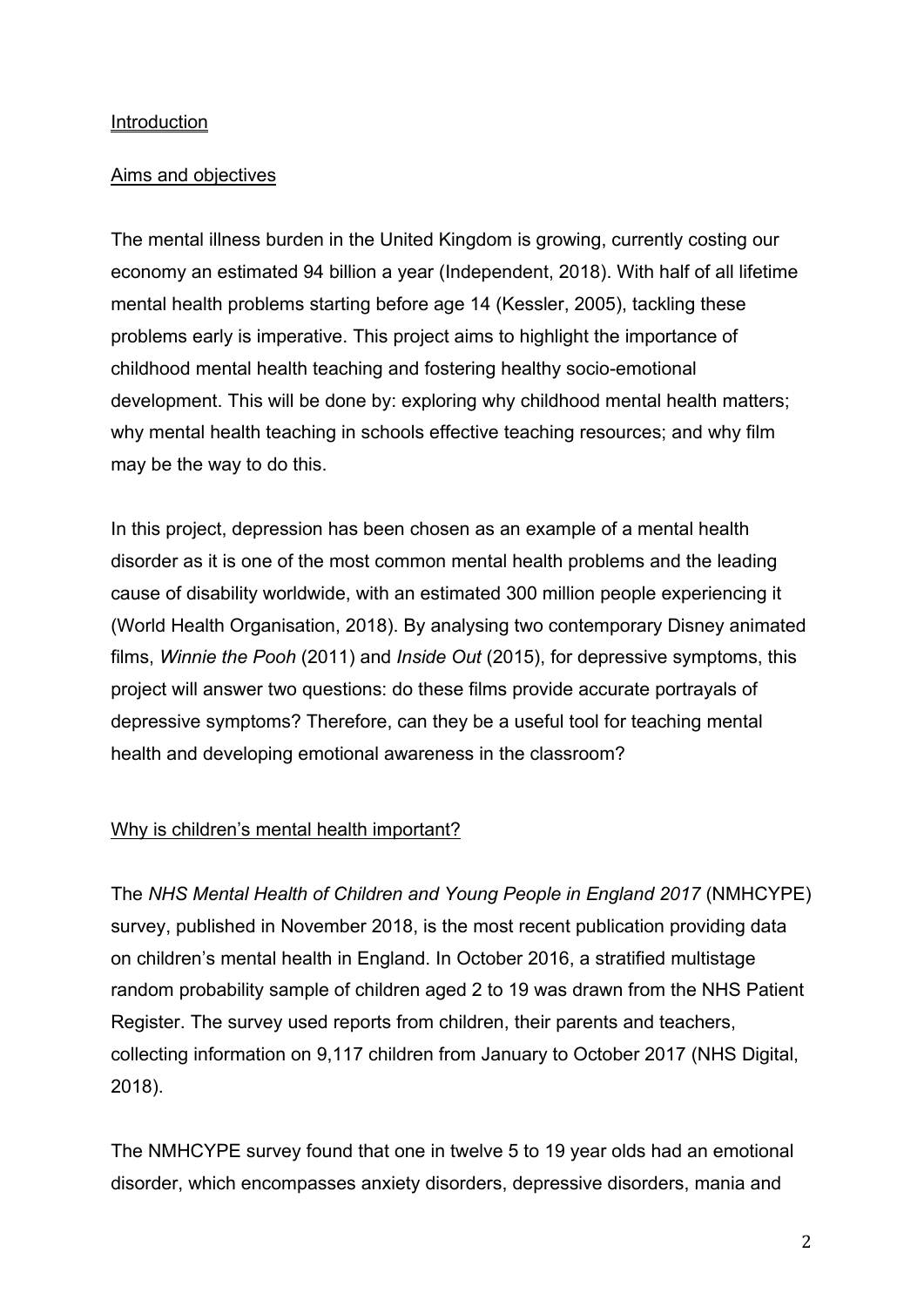### **Introduction**

## Aims and objectives

The mental illness burden in the United Kingdom is growing, currently costing our economy an estimated 94 billion a year (Independent, 2018). With half of all lifetime mental health problems starting before age 14 (Kessler, 2005), tackling these problems early is imperative. This project aims to highlight the importance of childhood mental health teaching and fostering healthy socio-emotional development. This will be done by: exploring why childhood mental health matters; why mental health teaching in schools effective teaching resources; and why film may be the way to do this.

In this project, depression has been chosen as an example of a mental health disorder as it is one of the most common mental health problems and the leading cause of disability worldwide, with an estimated 300 million people experiencing it (World Health Organisation, 2018). By analysing two contemporary Disney animated films, *Winnie the Pooh* (2011) and *Inside Out* (2015), for depressive symptoms, this project will answer two questions: do these films provide accurate portrayals of depressive symptoms? Therefore, can they be a useful tool for teaching mental health and developing emotional awareness in the classroom?

### Why is children's mental health important?

The *NHS Mental Health of Children and Young People in England 2017* (NMHCYPE) survey, published in November 2018, is the most recent publication providing data on children's mental health in England. In October 2016, a stratified multistage random probability sample of children aged 2 to 19 was drawn from the NHS Patient Register. The survey used reports from children, their parents and teachers, collecting information on 9,117 children from January to October 2017 (NHS Digital, 2018).

The NMHCYPE survey found that one in twelve 5 to 19 year olds had an emotional disorder, which encompasses anxiety disorders, depressive disorders, mania and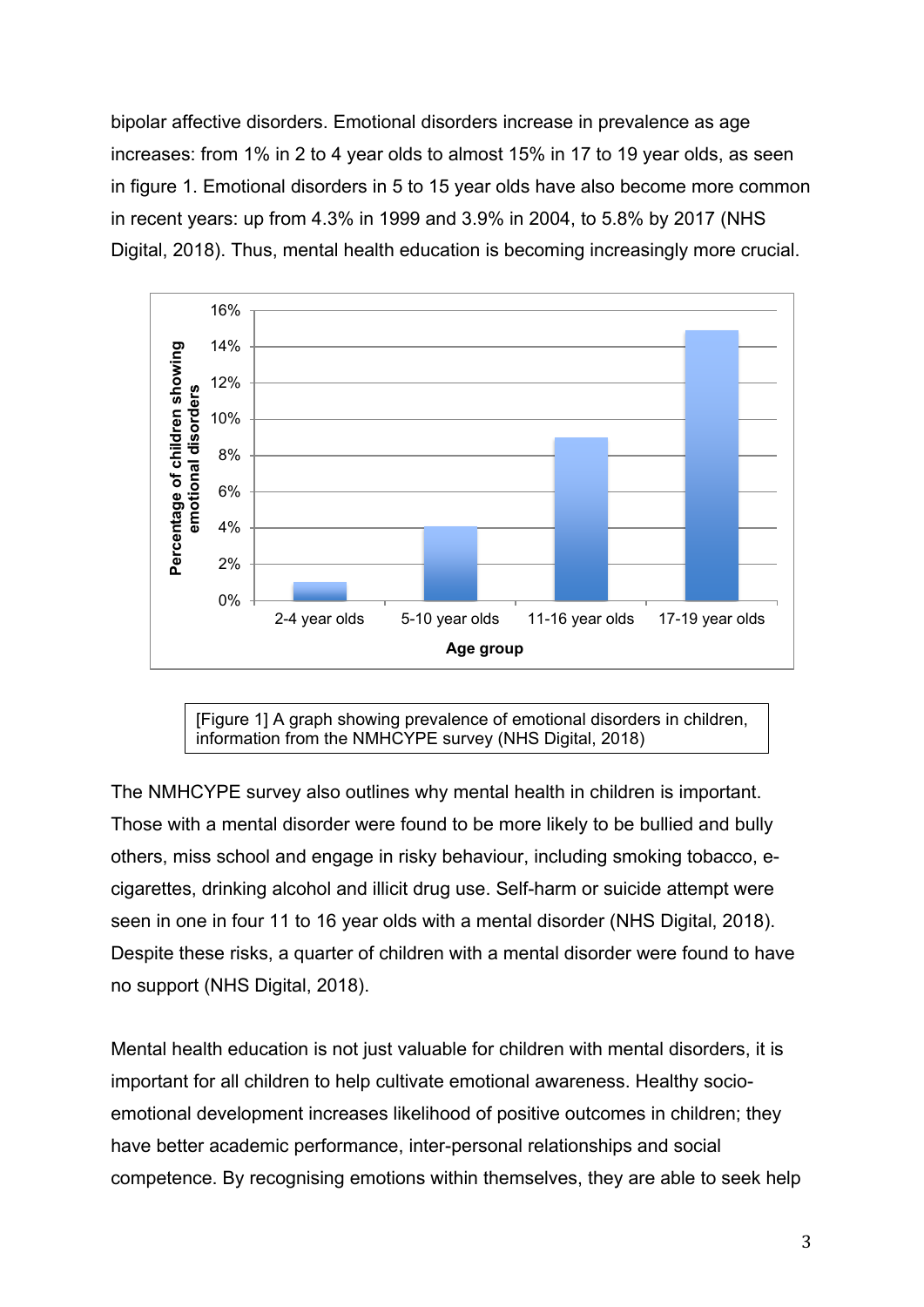bipolar affective disorders. Emotional disorders increase in prevalence as age increases: from 1% in 2 to 4 year olds to almost 15% in 17 to 19 year olds, as seen in figure 1. Emotional disorders in 5 to 15 year olds have also become more common in recent years: up from 4.3% in 1999 and 3.9% in 2004, to 5.8% by 2017 (NHS Digital, 2018). Thus, mental health education is becoming increasingly more crucial.



[Figure 1] A graph showing prevalence of emotional disorders in children, information from the NMHCYPE survey (NHS Digital, 2018)

The NMHCYPE survey also outlines why mental health in children is important. Those with a mental disorder were found to be more likely to be bullied and bully others, miss school and engage in risky behaviour, including smoking tobacco, ecigarettes, drinking alcohol and illicit drug use. Self-harm or suicide attempt were seen in one in four 11 to 16 year olds with a mental disorder (NHS Digital, 2018). Despite these risks, a quarter of children with a mental disorder were found to have no support (NHS Digital, 2018).

Mental health education is not just valuable for children with mental disorders, it is important for all children to help cultivate emotional awareness. Healthy socioemotional development increases likelihood of positive outcomes in children; they have better academic performance, inter-personal relationships and social competence. By recognising emotions within themselves, they are able to seek help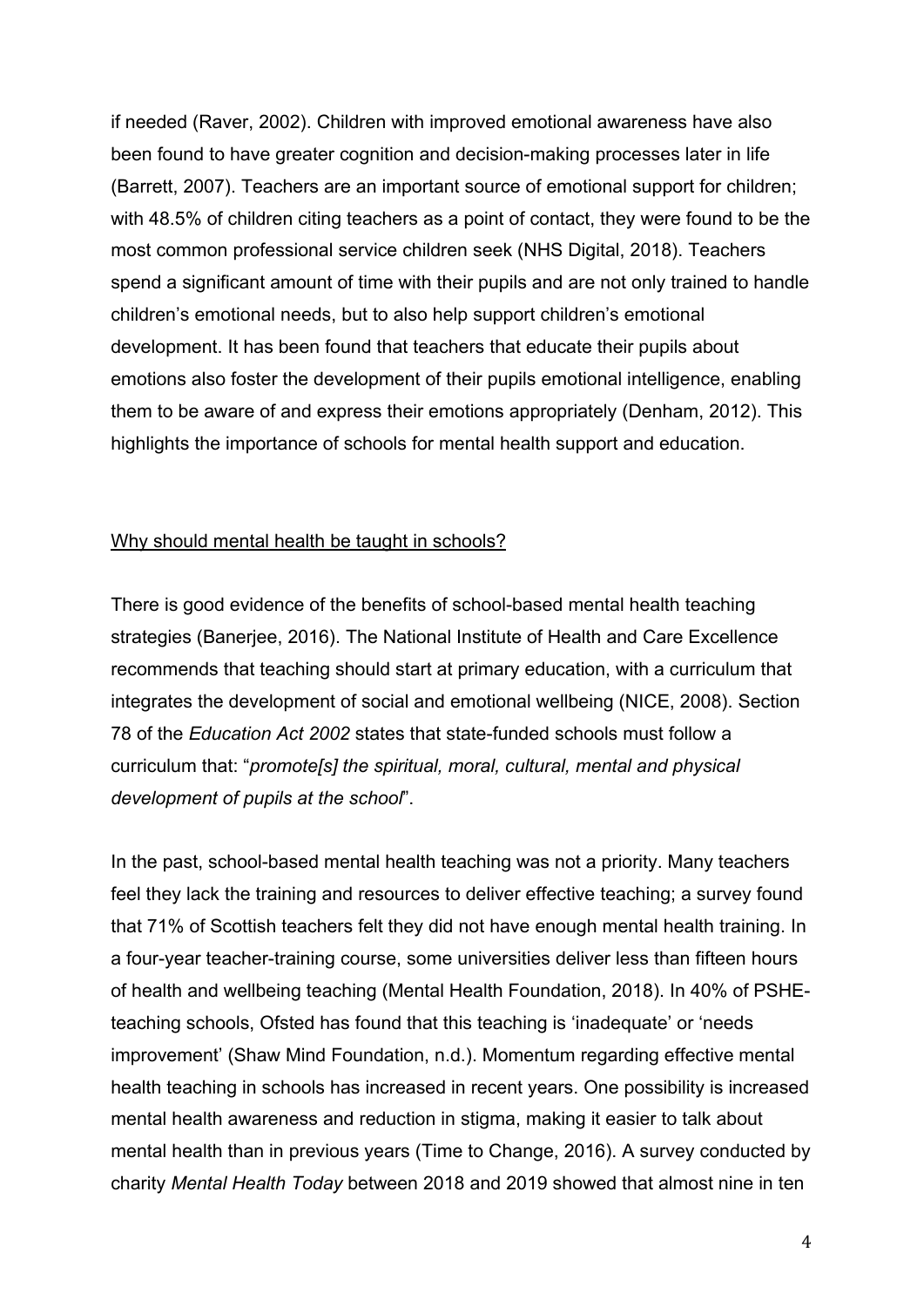if needed (Raver, 2002). Children with improved emotional awareness have also been found to have greater cognition and decision-making processes later in life (Barrett, 2007). Teachers are an important source of emotional support for children; with 48.5% of children citing teachers as a point of contact, they were found to be the most common professional service children seek (NHS Digital, 2018). Teachers spend a significant amount of time with their pupils and are not only trained to handle children's emotional needs, but to also help support children's emotional development. It has been found that teachers that educate their pupils about emotions also foster the development of their pupils emotional intelligence, enabling them to be aware of and express their emotions appropriately (Denham, 2012). This highlights the importance of schools for mental health support and education.

#### Why should mental health be taught in schools?

There is good evidence of the benefits of school-based mental health teaching strategies (Banerjee, 2016). The National Institute of Health and Care Excellence recommends that teaching should start at primary education, with a curriculum that integrates the development of social and emotional wellbeing (NICE, 2008). Section 78 of the *Education Act 2002* states that state-funded schools must follow a curriculum that: "*promote[s] the spiritual, moral, cultural, mental and physical development of pupils at the school*".

In the past, school-based mental health teaching was not a priority. Many teachers feel they lack the training and resources to deliver effective teaching; a survey found that 71% of Scottish teachers felt they did not have enough mental health training. In a four-year teacher-training course, some universities deliver less than fifteen hours of health and wellbeing teaching (Mental Health Foundation, 2018). In 40% of PSHEteaching schools, Ofsted has found that this teaching is 'inadequate' or 'needs improvement' (Shaw Mind Foundation, n.d.). Momentum regarding effective mental health teaching in schools has increased in recent years. One possibility is increased mental health awareness and reduction in stigma, making it easier to talk about mental health than in previous years (Time to Change, 2016). A survey conducted by charity *Mental Health Today* between 2018 and 2019 showed that almost nine in ten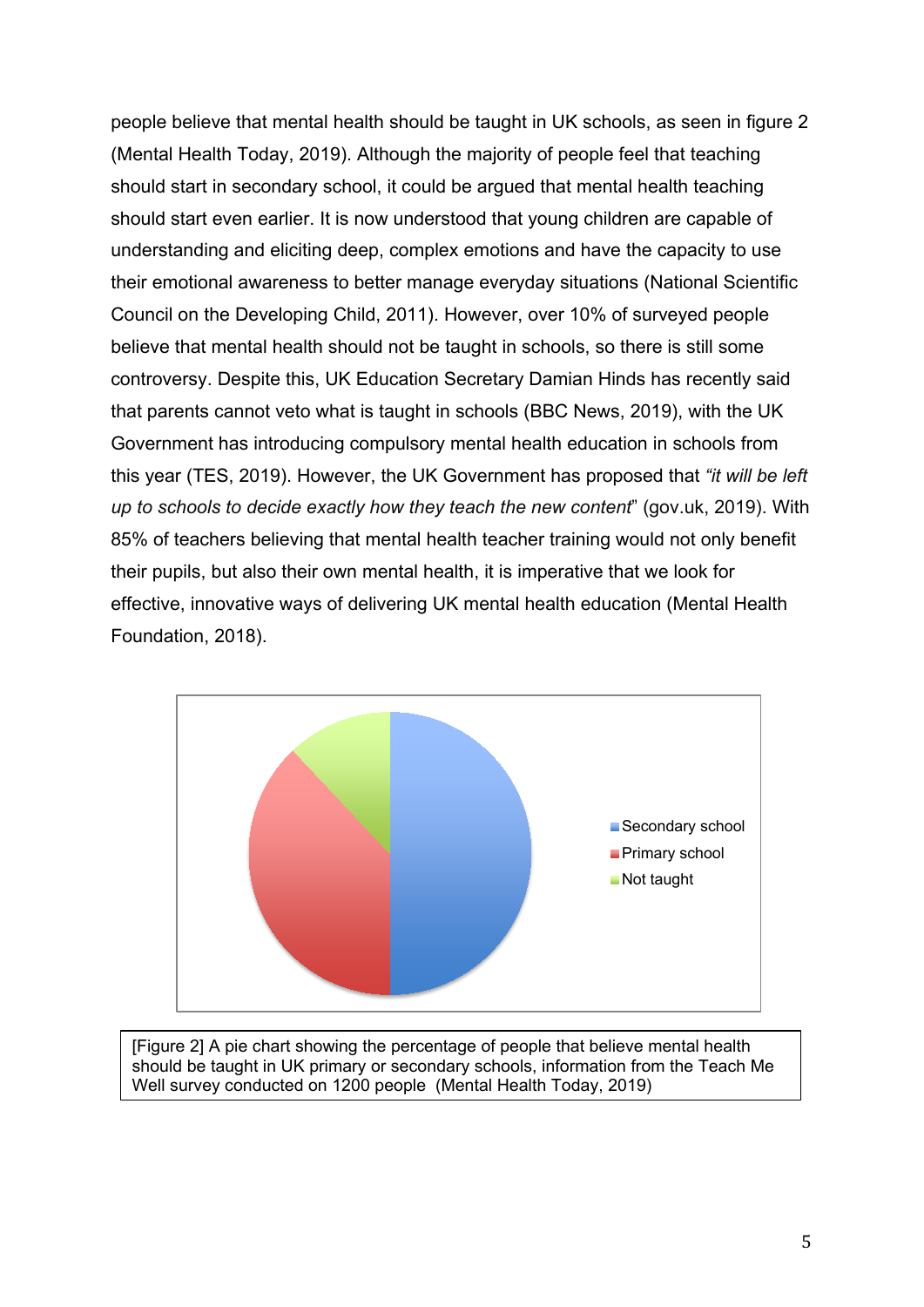people believe that mental health should be taught in UK schools, as seen in figure 2 (Mental Health Today, 2019). Although the majority of people feel that teaching should start in secondary school, it could be argued that mental health teaching should start even earlier. It is now understood that young children are capable of understanding and eliciting deep, complex emotions and have the capacity to use their emotional awareness to better manage everyday situations (National Scientific Council on the Developing Child, 2011). However, over 10% of surveyed people believe that mental health should not be taught in schools, so there is still some controversy. Despite this, UK Education Secretary Damian Hinds has recently said that parents cannot veto what is taught in schools (BBC News, 2019), with the UK Government has introducing compulsory mental health education in schools from this year (TES, 2019). However, the UK Government has proposed that *"it will be left up to schools to decide exactly how they teach the new content*" (gov.uk, 2019). With 85% of teachers believing that mental health teacher training would not only benefit their pupils, but also their own mental health, it is imperative that we look for effective, innovative ways of delivering UK mental health education (Mental Health Foundation, 2018).



[Figure 2] A pie chart showing the percentage of people that believe mental health should be taught in UK primary or secondary schools, information from the Teach Me Well survey conducted on 1200 people (Mental Health Today, 2019)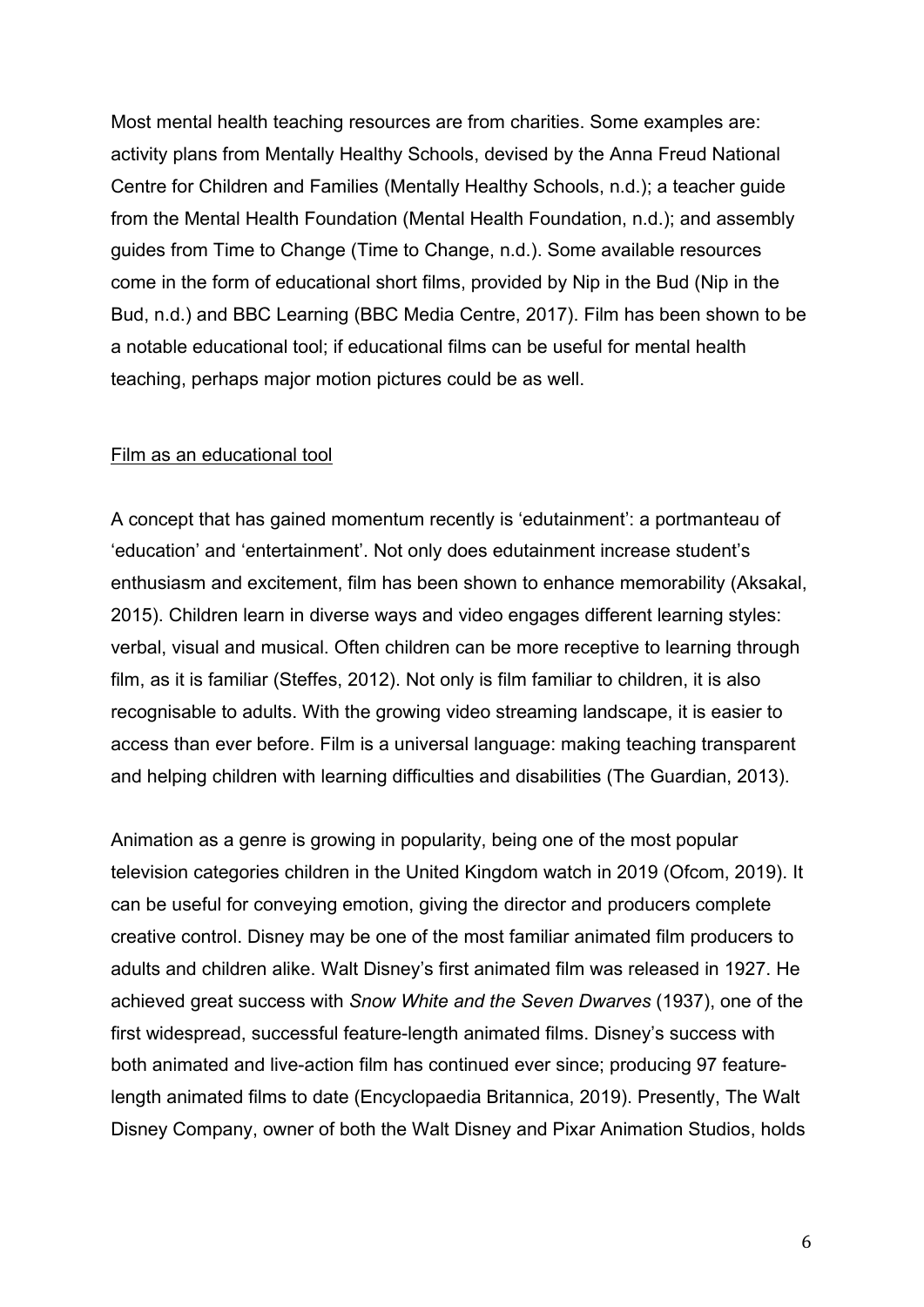Most mental health teaching resources are from charities. Some examples are: activity plans from Mentally Healthy Schools, devised by the Anna Freud National Centre for Children and Families (Mentally Healthy Schools, n.d.); a teacher guide from the Mental Health Foundation (Mental Health Foundation, n.d.); and assembly guides from Time to Change (Time to Change, n.d.). Some available resources come in the form of educational short films, provided by Nip in the Bud (Nip in the Bud, n.d.) and BBC Learning (BBC Media Centre, 2017). Film has been shown to be a notable educational tool; if educational films can be useful for mental health teaching, perhaps major motion pictures could be as well.

#### Film as an educational tool

A concept that has gained momentum recently is 'edutainment': a portmanteau of 'education' and 'entertainment'. Not only does edutainment increase student's enthusiasm and excitement, film has been shown to enhance memorability (Aksakal, 2015). Children learn in diverse ways and video engages different learning styles: verbal, visual and musical. Often children can be more receptive to learning through film, as it is familiar (Steffes, 2012). Not only is film familiar to children, it is also recognisable to adults. With the growing video streaming landscape, it is easier to access than ever before. Film is a universal language: making teaching transparent and helping children with learning difficulties and disabilities (The Guardian, 2013).

Animation as a genre is growing in popularity, being one of the most popular television categories children in the United Kingdom watch in 2019 (Ofcom, 2019). It can be useful for conveying emotion, giving the director and producers complete creative control. Disney may be one of the most familiar animated film producers to adults and children alike. Walt Disney's first animated film was released in 1927. He achieved great success with *Snow White and the Seven Dwarves* (1937), one of the first widespread, successful feature-length animated films. Disney's success with both animated and live-action film has continued ever since; producing 97 featurelength animated films to date (Encyclopaedia Britannica, 2019). Presently, The Walt Disney Company, owner of both the Walt Disney and Pixar Animation Studios, holds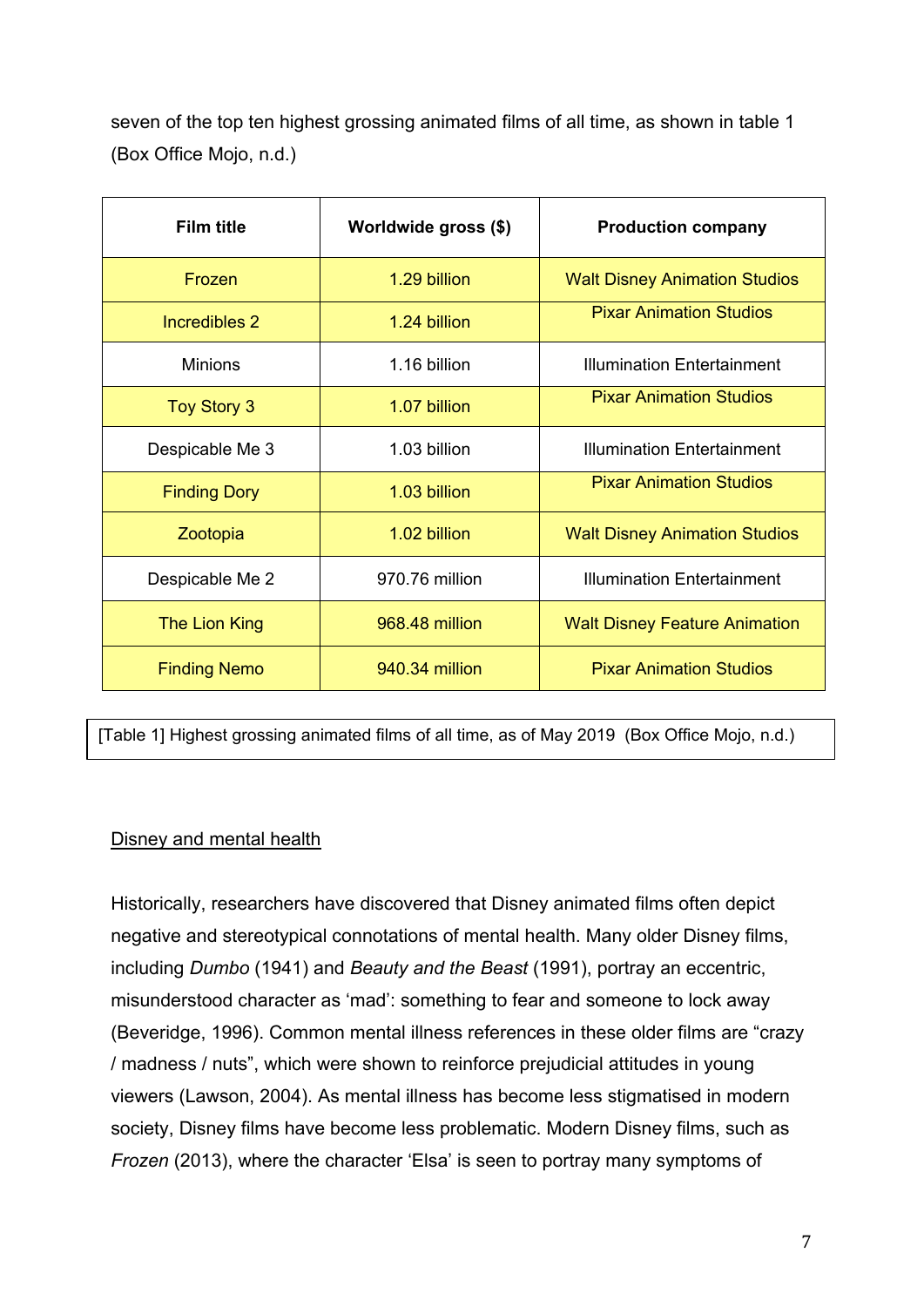seven of the top ten highest grossing animated films of all time, as shown in table 1 (Box Office Mojo, n.d.)

| <b>Film title</b>   | Worldwide gross (\$) | <b>Production company</b>            |
|---------------------|----------------------|--------------------------------------|
| Frozen              | 1.29 billion         | <b>Walt Disney Animation Studios</b> |
| Incredibles 2       | 1.24 billion         | <b>Pixar Animation Studios</b>       |
| <b>Minions</b>      | 1.16 billion         | <b>Illumination Entertainment</b>    |
| <b>Toy Story 3</b>  | 1.07 billion         | <b>Pixar Animation Studios</b>       |
| Despicable Me 3     | 1.03 billion         | <b>Illumination Entertainment</b>    |
| <b>Finding Dory</b> | 1.03 billion         | <b>Pixar Animation Studios</b>       |
| Zootopia            | 1.02 billion         | <b>Walt Disney Animation Studios</b> |
| Despicable Me 2     | 970.76 million       | <b>Illumination Entertainment</b>    |
| The Lion King       | 968.48 million       | <b>Walt Disney Feature Animation</b> |
| <b>Finding Nemo</b> | 940.34 million       | <b>Pixar Animation Studios</b>       |

[Table 1] Highest grossing animated films of all time, as of May 2019 (Box Office Mojo, n.d.)

## Disney and mental health

Historically, researchers have discovered that Disney animated films often depict negative and stereotypical connotations of mental health. Many older Disney films, including *Dumbo* (1941) and *Beauty and the Beast* (1991), portray an eccentric, misunderstood character as 'mad': something to fear and someone to lock away (Beveridge, 1996). Common mental illness references in these older films are "crazy / madness / nuts", which were shown to reinforce prejudicial attitudes in young viewers (Lawson, 2004). As mental illness has become less stigmatised in modern society, Disney films have become less problematic. Modern Disney films, such as *Frozen* (2013), where the character 'Elsa' is seen to portray many symptoms of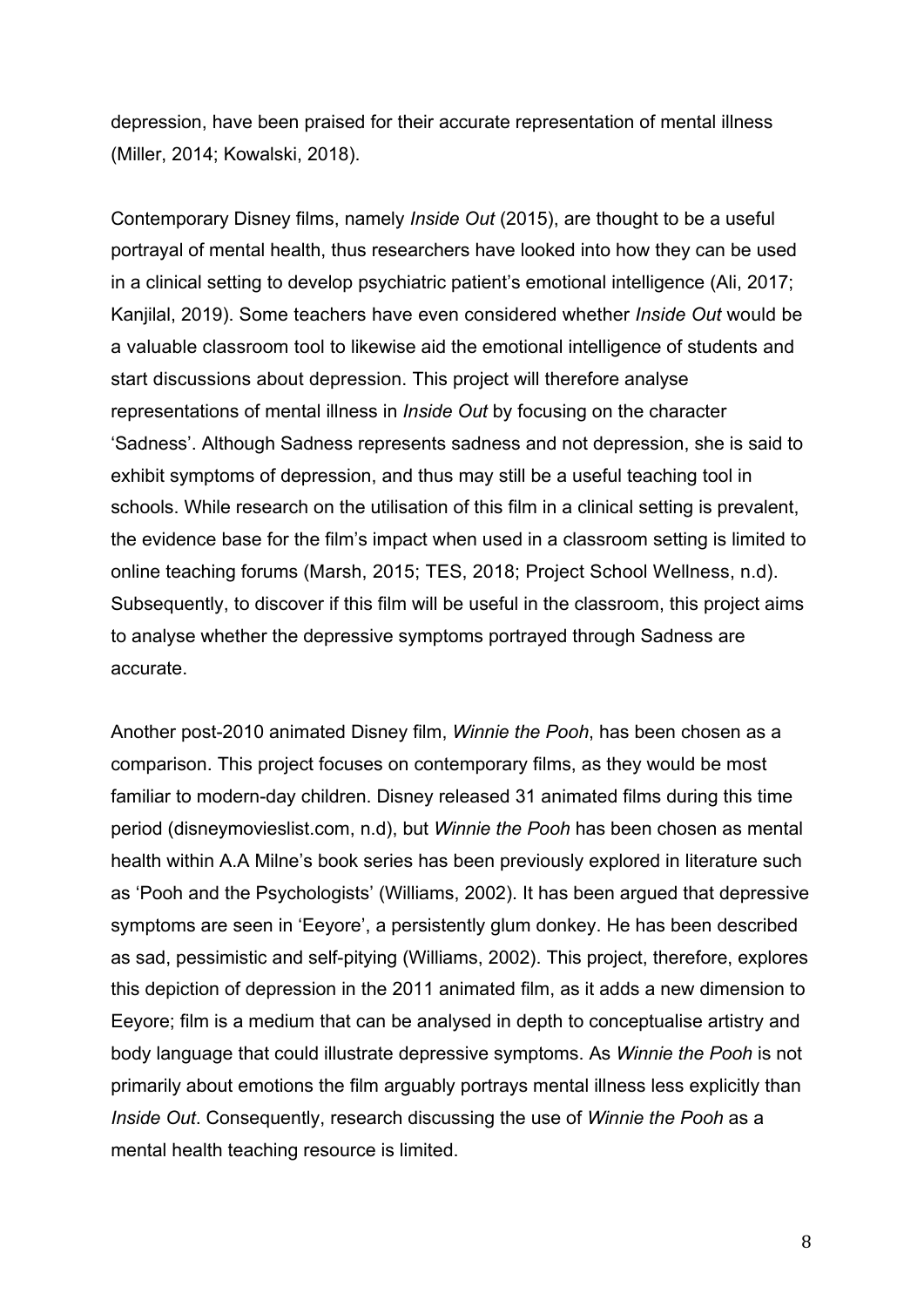depression, have been praised for their accurate representation of mental illness (Miller, 2014; Kowalski, 2018).

Contemporary Disney films, namely *Inside Out* (2015), are thought to be a useful portrayal of mental health, thus researchers have looked into how they can be used in a clinical setting to develop psychiatric patient's emotional intelligence (Ali, 2017; Kanjilal, 2019). Some teachers have even considered whether *Inside Out* would be a valuable classroom tool to likewise aid the emotional intelligence of students and start discussions about depression. This project will therefore analyse representations of mental illness in *Inside Out* by focusing on the character 'Sadness'. Although Sadness represents sadness and not depression, she is said to exhibit symptoms of depression, and thus may still be a useful teaching tool in schools. While research on the utilisation of this film in a clinical setting is prevalent, the evidence base for the film's impact when used in a classroom setting is limited to online teaching forums (Marsh, 2015; TES, 2018; Project School Wellness, n.d). Subsequently, to discover if this film will be useful in the classroom, this project aims to analyse whether the depressive symptoms portrayed through Sadness are accurate.

Another post-2010 animated Disney film, *Winnie the Pooh*, has been chosen as a comparison. This project focuses on contemporary films, as they would be most familiar to modern-day children. Disney released 31 animated films during this time period (disneymovieslist.com, n.d), but *Winnie the Pooh* has been chosen as mental health within A.A Milne's book series has been previously explored in literature such as 'Pooh and the Psychologists' (Williams, 2002). It has been argued that depressive symptoms are seen in 'Eeyore', a persistently glum donkey. He has been described as sad, pessimistic and self-pitying (Williams, 2002). This project, therefore, explores this depiction of depression in the 2011 animated film, as it adds a new dimension to Eeyore; film is a medium that can be analysed in depth to conceptualise artistry and body language that could illustrate depressive symptoms. As *Winnie the Pooh* is not primarily about emotions the film arguably portrays mental illness less explicitly than *Inside Out*. Consequently, research discussing the use of *Winnie the Pooh* as a mental health teaching resource is limited.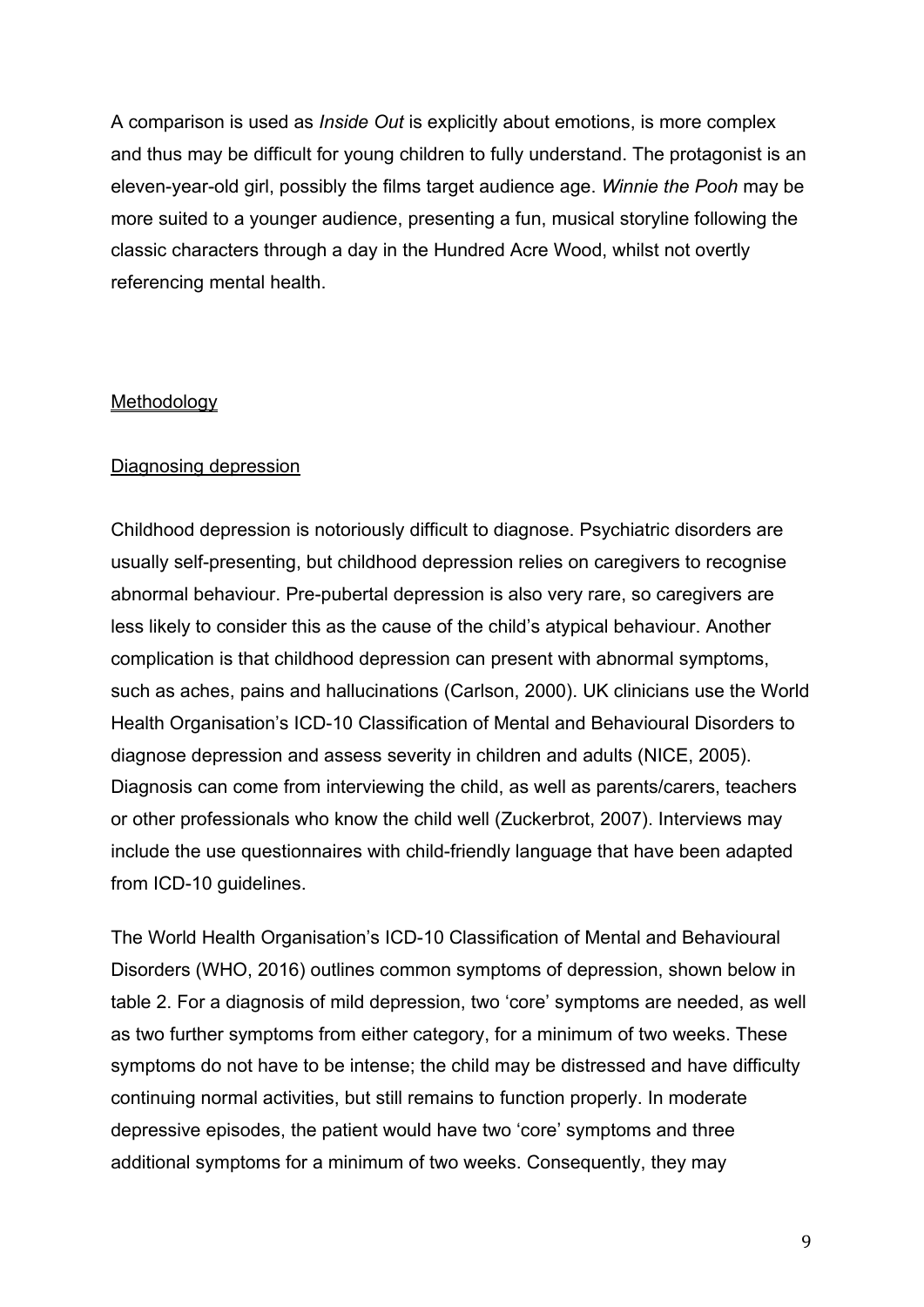A comparison is used as *Inside Out* is explicitly about emotions, is more complex and thus may be difficult for young children to fully understand. The protagonist is an eleven-year-old girl, possibly the films target audience age. *Winnie the Pooh* may be more suited to a younger audience, presenting a fun, musical storyline following the classic characters through a day in the Hundred Acre Wood, whilst not overtly referencing mental health.

### **Methodology**

### Diagnosing depression

Childhood depression is notoriously difficult to diagnose. Psychiatric disorders are usually self-presenting, but childhood depression relies on caregivers to recognise abnormal behaviour. Pre-pubertal depression is also very rare, so caregivers are less likely to consider this as the cause of the child's atypical behaviour. Another complication is that childhood depression can present with abnormal symptoms, such as aches, pains and hallucinations (Carlson, 2000). UK clinicians use the World Health Organisation's ICD-10 Classification of Mental and Behavioural Disorders to diagnose depression and assess severity in children and adults (NICE, 2005). Diagnosis can come from interviewing the child, as well as parents/carers, teachers or other professionals who know the child well (Zuckerbrot, 2007). Interviews may include the use questionnaires with child-friendly language that have been adapted from ICD-10 guidelines.

The World Health Organisation's ICD-10 Classification of Mental and Behavioural Disorders (WHO, 2016) outlines common symptoms of depression, shown below in table 2. For a diagnosis of mild depression, two 'core' symptoms are needed, as well as two further symptoms from either category, for a minimum of two weeks. These symptoms do not have to be intense; the child may be distressed and have difficulty continuing normal activities, but still remains to function properly. In moderate depressive episodes, the patient would have two 'core' symptoms and three additional symptoms for a minimum of two weeks. Consequently, they may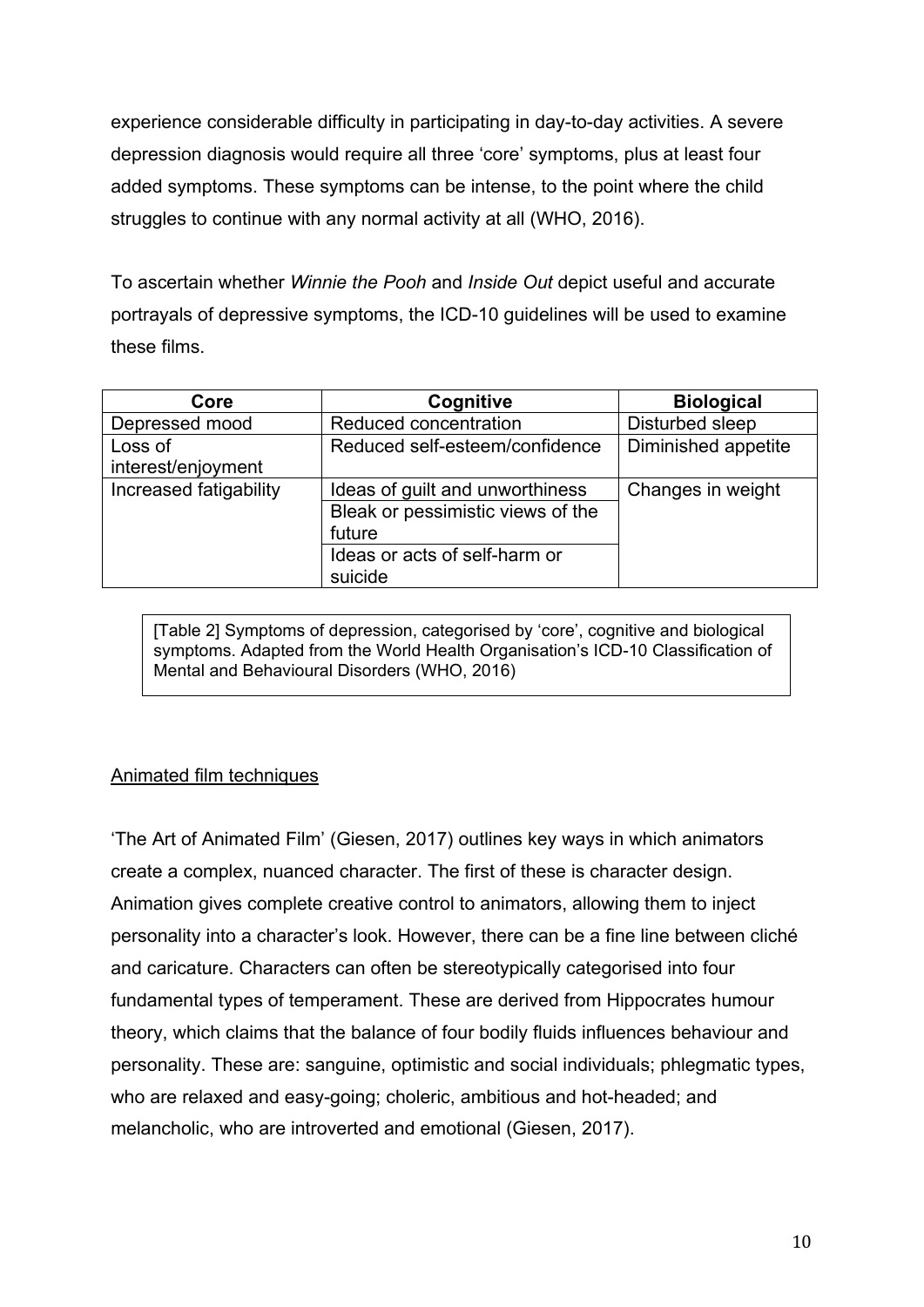experience considerable difficulty in participating in day-to-day activities. A severe depression diagnosis would require all three 'core' symptoms, plus at least four added symptoms. These symptoms can be intense, to the point where the child struggles to continue with any normal activity at all (WHO, 2016).

To ascertain whether *Winnie the Pooh* and *Inside Out* depict useful and accurate portrayals of depressive symptoms, the ICD-10 guidelines will be used to examine these films.

| Core                          | Cognitive                                   | <b>Biological</b>   |
|-------------------------------|---------------------------------------------|---------------------|
| Depressed mood                | Reduced concentration                       | Disturbed sleep     |
| Loss of<br>interest/enjoyment | Reduced self-esteem/confidence              | Diminished appetite |
| Increased fatigability        | Ideas of guilt and unworthiness             | Changes in weight   |
|                               | Bleak or pessimistic views of the<br>future |                     |
|                               | Ideas or acts of self-harm or<br>suicide    |                     |

[Table 2] Symptoms of depression, categorised by 'core', cognitive and biological symptoms. Adapted from the World Health Organisation's ICD-10 Classification of Mental and Behavioural Disorders (WHO, 2016)

## Animated film techniques

'The Art of Animated Film' (Giesen, 2017) outlines key ways in which animators create a complex, nuanced character. The first of these is character design. Animation gives complete creative control to animators, allowing them to inject personality into a character's look. However, there can be a fine line between cliché and caricature. Characters can often be stereotypically categorised into four fundamental types of temperament. These are derived from Hippocrates humour theory, which claims that the balance of four bodily fluids influences behaviour and personality. These are: sanguine, optimistic and social individuals; phlegmatic types, who are relaxed and easy-going; choleric, ambitious and hot-headed; and melancholic, who are introverted and emotional (Giesen, 2017).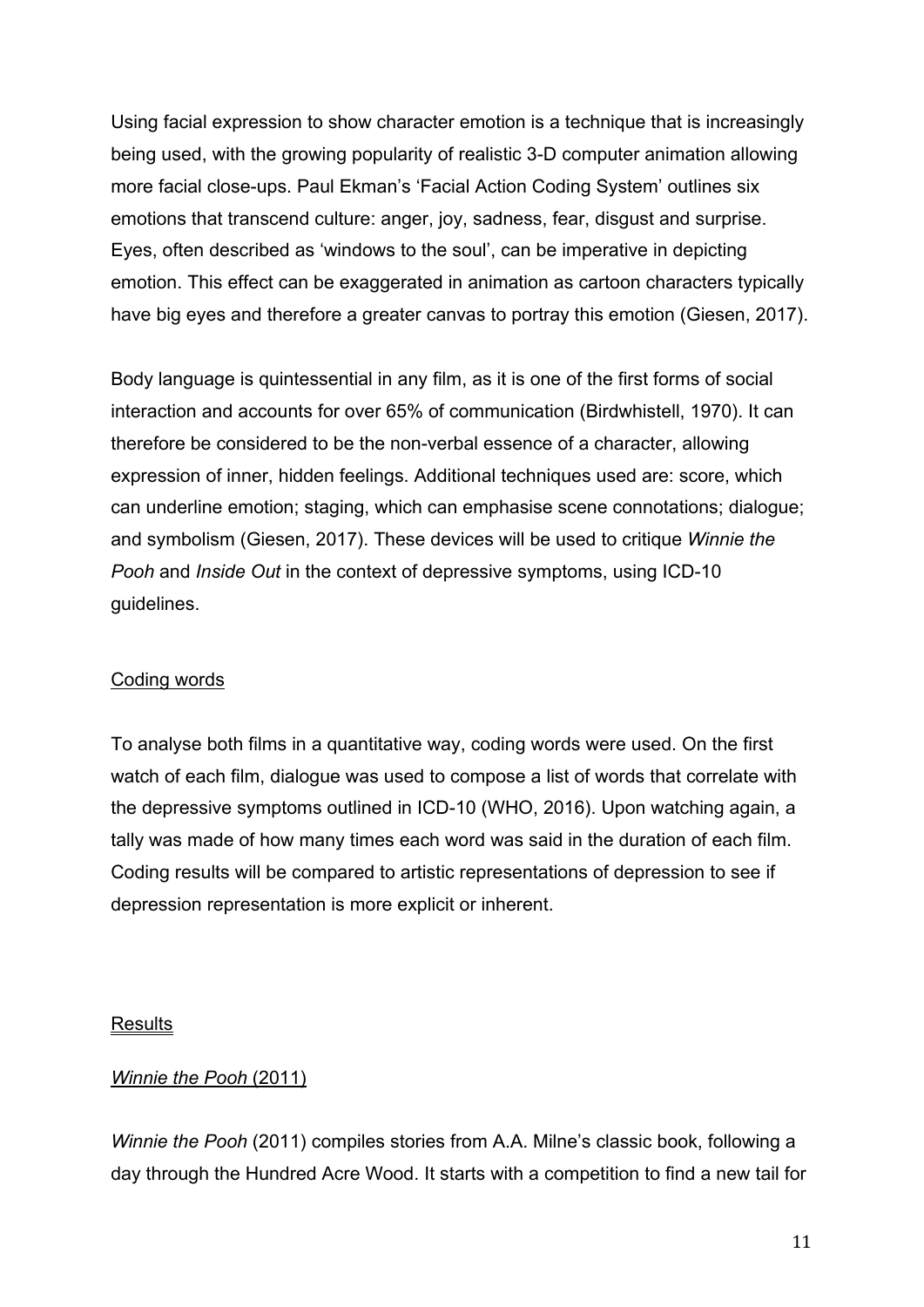Using facial expression to show character emotion is a technique that is increasingly being used, with the growing popularity of realistic 3-D computer animation allowing more facial close-ups. Paul Ekman's 'Facial Action Coding System' outlines six emotions that transcend culture: anger, joy, sadness, fear, disgust and surprise. Eyes, often described as 'windows to the soul', can be imperative in depicting emotion. This effect can be exaggerated in animation as cartoon characters typically have big eyes and therefore a greater canvas to portray this emotion (Giesen, 2017).

Body language is quintessential in any film, as it is one of the first forms of social interaction and accounts for over 65% of communication (Birdwhistell, 1970). It can therefore be considered to be the non-verbal essence of a character, allowing expression of inner, hidden feelings. Additional techniques used are: score, which can underline emotion; staging, which can emphasise scene connotations; dialogue; and symbolism (Giesen, 2017). These devices will be used to critique *Winnie the Pooh and Inside Out in the context of depressive symptoms, using ICD-10* guidelines.

## Coding words

To analyse both films in a quantitative way, coding words were used. On the first watch of each film, dialogue was used to compose a list of words that correlate with the depressive symptoms outlined in ICD-10 (WHO, 2016). Upon watching again, a tally was made of how many times each word was said in the duration of each film. Coding results will be compared to artistic representations of depression to see if depression representation is more explicit or inherent.

### **Results**

## *Winnie the Pooh* (2011)

*Winnie the Pooh* (2011) compiles stories from A.A. Milne's classic book, following a day through the Hundred Acre Wood. It starts with a competition to find a new tail for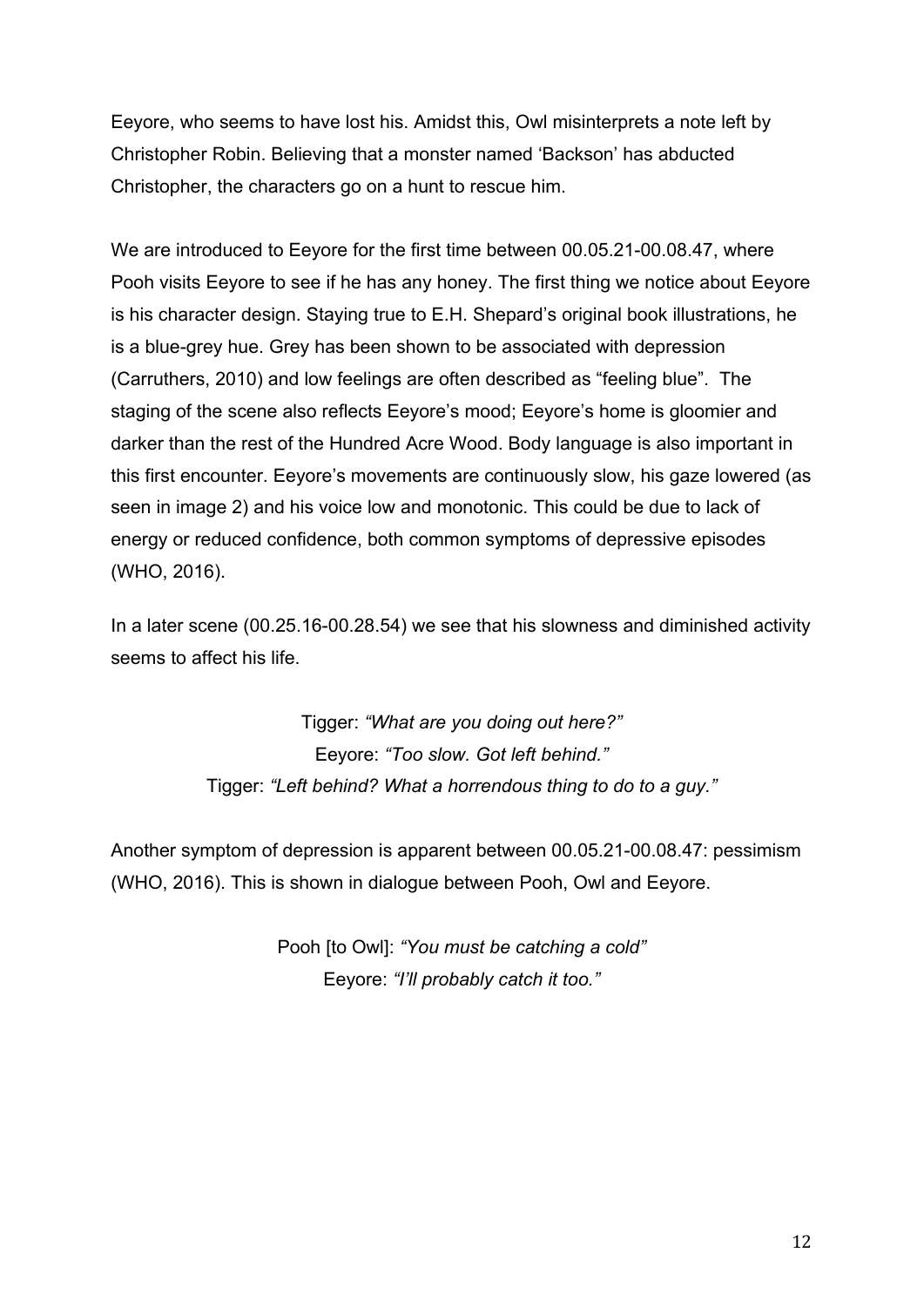Eeyore, who seems to have lost his. Amidst this, Owl misinterprets a note left by Christopher Robin. Believing that a monster named 'Backson' has abducted Christopher, the characters go on a hunt to rescue him.

We are introduced to Eeyore for the first time between 00.05.21-00.08.47, where Pooh visits Eeyore to see if he has any honey. The first thing we notice about Eeyore is his character design. Staying true to E.H. Shepard's original book illustrations, he is a blue-grey hue. Grey has been shown to be associated with depression (Carruthers, 2010) and low feelings are often described as "feeling blue". The staging of the scene also reflects Eeyore's mood; Eeyore's home is gloomier and darker than the rest of the Hundred Acre Wood. Body language is also important in this first encounter. Eeyore's movements are continuously slow, his gaze lowered (as seen in image 2) and his voice low and monotonic. This could be due to lack of energy or reduced confidence, both common symptoms of depressive episodes (WHO, 2016).

In a later scene (00.25.16-00.28.54) we see that his slowness and diminished activity seems to affect his life.

> Tigger: *"What are you doing out here?"* Eeyore: *"Too slow. Got left behind."* Tigger: *"Left behind? What a horrendous thing to do to a guy."*

Another symptom of depression is apparent between 00.05.21-00.08.47: pessimism (WHO, 2016). This is shown in dialogue between Pooh, Owl and Eeyore.

> Pooh [to Owl]: *"You must be catching a cold"* Eeyore: *"I'll probably catch it too."*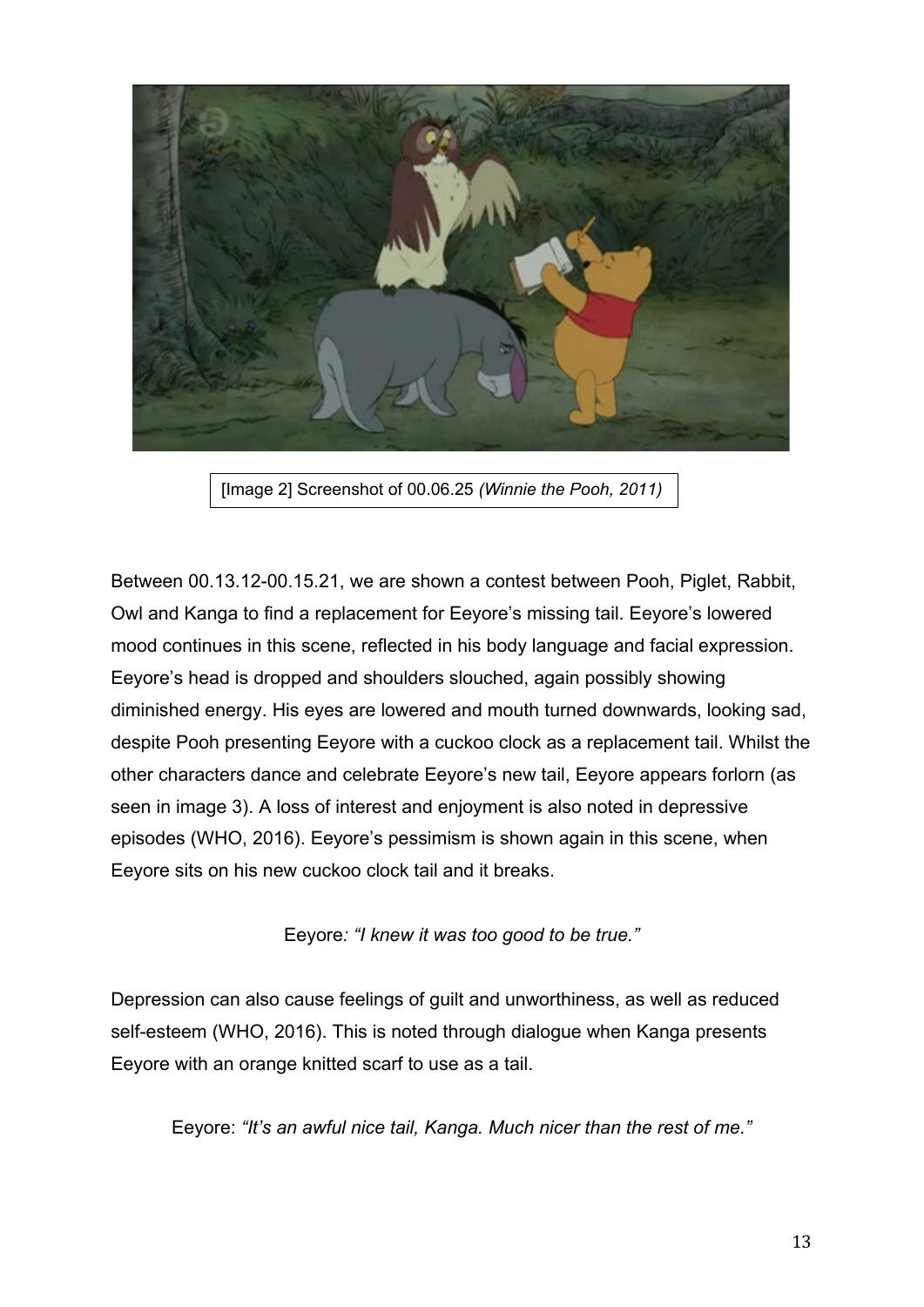

[Image 2] Screenshot of 00.06.25 *(Winnie the Pooh, 2011)*

Between 00.13.12-00.15.21, we are shown a contest between Pooh, Piglet, Rabbit, Owl and Kanga to find a replacement for Eeyore's missing tail. Eeyore's lowered mood continues in this scene, reflected in his body language and facial expression. Eeyore's head is dropped and shoulders slouched, again possibly showing diminished energy. His eyes are lowered and mouth turned downwards, looking sad, despite Pooh presenting Eeyore with a cuckoo clock as a replacement tail. Whilst the other characters dance and celebrate Eeyore's new tail, Eeyore appears forlorn (as seen in image 3). A loss of interest and enjoyment is also noted in depressive episodes (WHO, 2016). Eeyore's pessimism is shown again in this scene, when Eeyore sits on his new cuckoo clock tail and it breaks.

Eeyore*: "I knew it was too good to be true."*

Depression can also cause feelings of guilt and unworthiness, as well as reduced self-esteem (WHO, 2016). This is noted through dialogue when Kanga presents Eeyore with an orange knitted scarf to use as a tail.

Eeyore: *"It's an awful nice tail, Kanga. Much nicer than the rest of me."*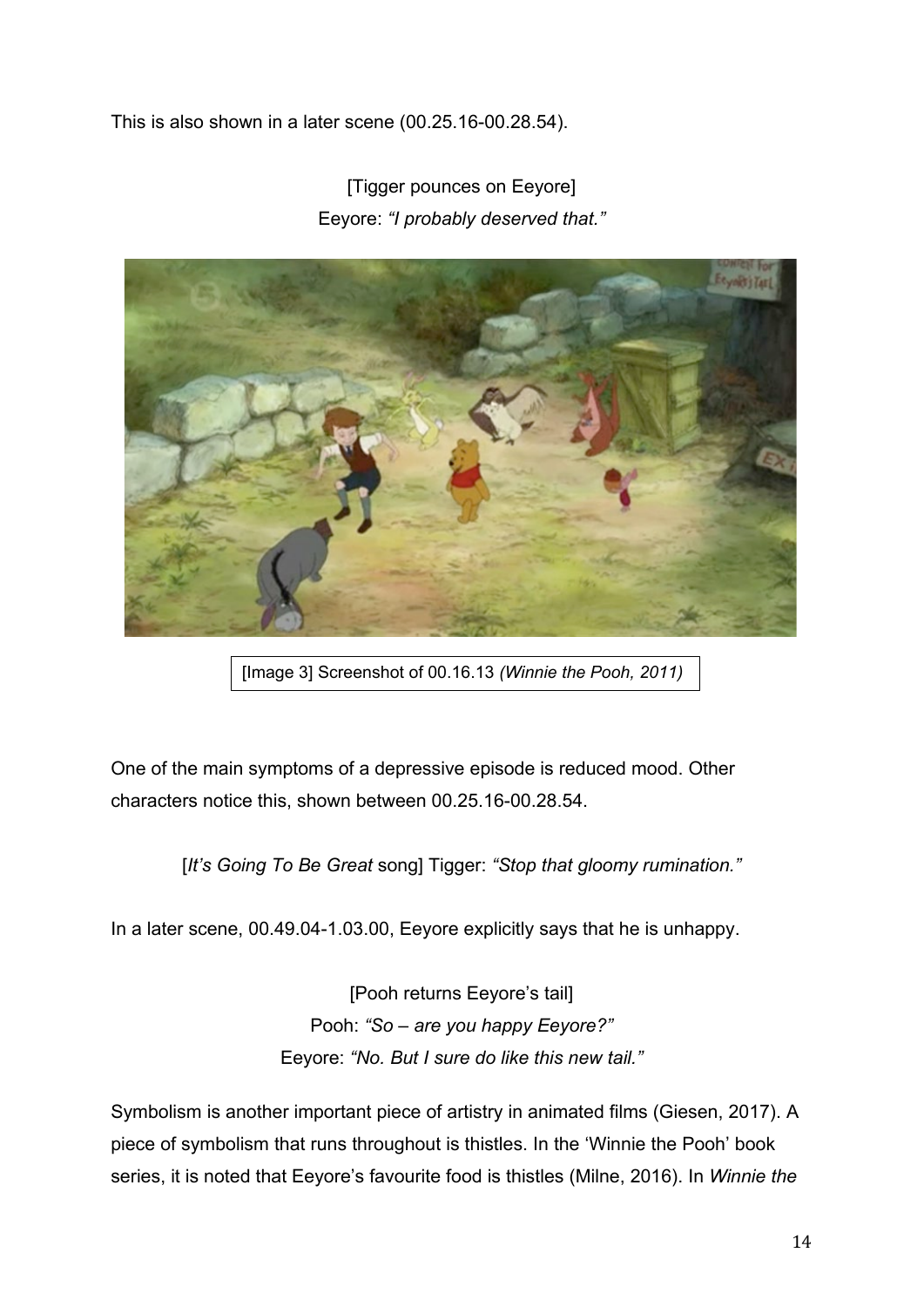This is also shown in a later scene (00.25.16-00.28.54).

[Tigger pounces on Eeyore] Eeyore: *"I probably deserved that."*



[Image 3] Screenshot of 00.16.13 *(Winnie the Pooh, 2011)*

One of the main symptoms of a depressive episode is reduced mood. Other characters notice this, shown between 00.25.16-00.28.54.

[*It's Going To Be Great* song] Tigger: *"Stop that gloomy rumination."*

In a later scene, 00.49.04-1.03.00, Eeyore explicitly says that he is unhappy.

[Pooh returns Eeyore's tail] Pooh: *"So – are you happy Eeyore?"* Eeyore: *"No. But I sure do like this new tail."*

Symbolism is another important piece of artistry in animated films (Giesen, 2017). A piece of symbolism that runs throughout is thistles. In the 'Winnie the Pooh' book series, it is noted that Eeyore's favourite food is thistles (Milne, 2016). In *Winnie the*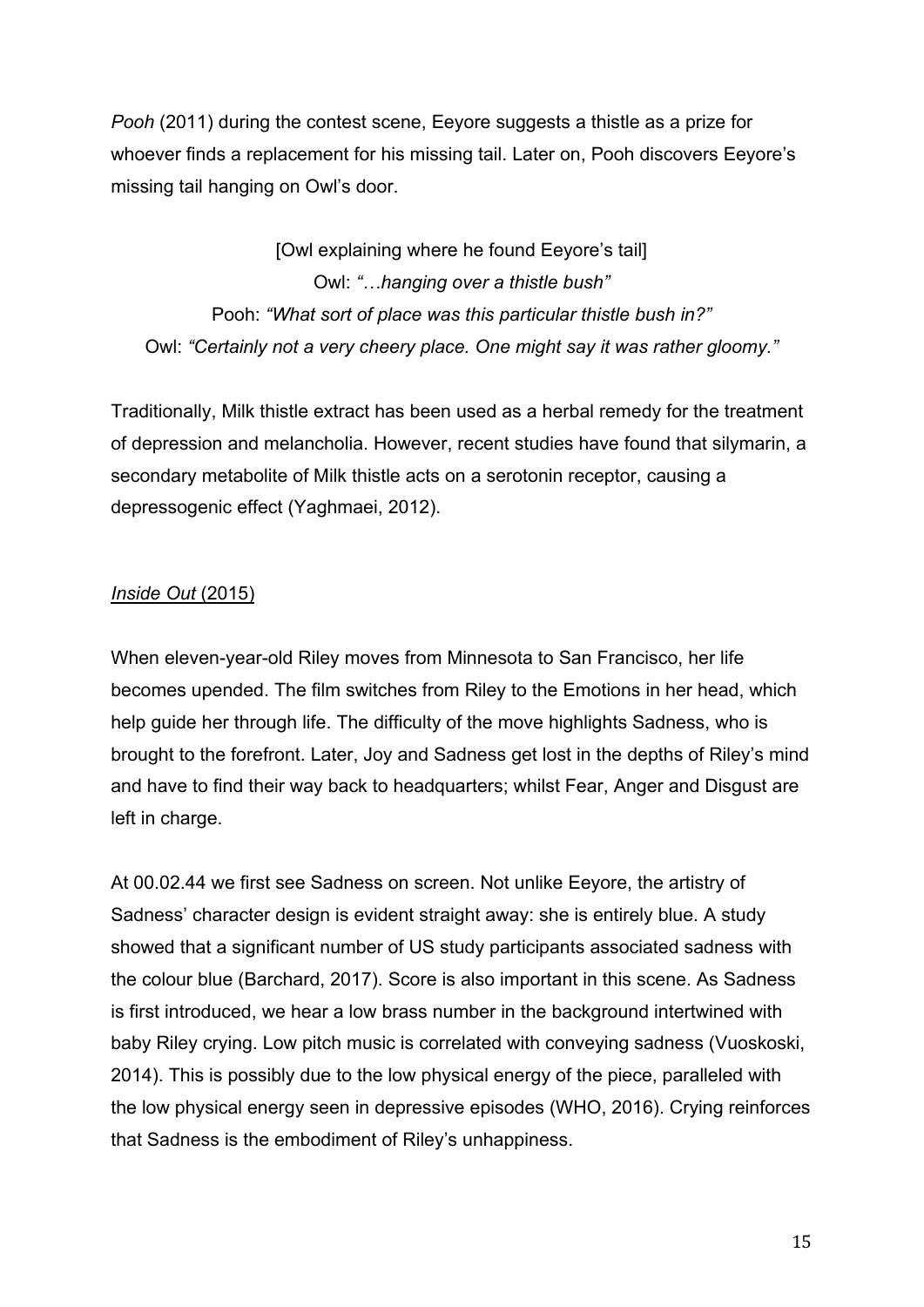*Pooh* (2011) during the contest scene, Eeyore suggests a thistle as a prize for whoever finds a replacement for his missing tail. Later on, Pooh discovers Eeyore's missing tail hanging on Owl's door.

[Owl explaining where he found Eeyore's tail] Owl: *"…hanging over a thistle bush"* Pooh: *"What sort of place was this particular thistle bush in?"* Owl: *"Certainly not a very cheery place. One might say it was rather gloomy."*

Traditionally, Milk thistle extract has been used as a herbal remedy for the treatment of depression and melancholia. However, recent studies have found that silymarin, a secondary metabolite of Milk thistle acts on a serotonin receptor, causing a depressogenic effect (Yaghmaei, 2012).

# *Inside Out* (2015)

When eleven-year-old Riley moves from Minnesota to San Francisco, her life becomes upended. The film switches from Riley to the Emotions in her head, which help guide her through life. The difficulty of the move highlights Sadness, who is brought to the forefront. Later, Joy and Sadness get lost in the depths of Riley's mind and have to find their way back to headquarters; whilst Fear, Anger and Disgust are left in charge.

At 00.02.44 we first see Sadness on screen. Not unlike Eeyore, the artistry of Sadness' character design is evident straight away: she is entirely blue. A study showed that a significant number of US study participants associated sadness with the colour blue (Barchard, 2017). Score is also important in this scene. As Sadness is first introduced, we hear a low brass number in the background intertwined with baby Riley crying. Low pitch music is correlated with conveying sadness (Vuoskoski, 2014). This is possibly due to the low physical energy of the piece, paralleled with the low physical energy seen in depressive episodes (WHO, 2016). Crying reinforces that Sadness is the embodiment of Riley's unhappiness.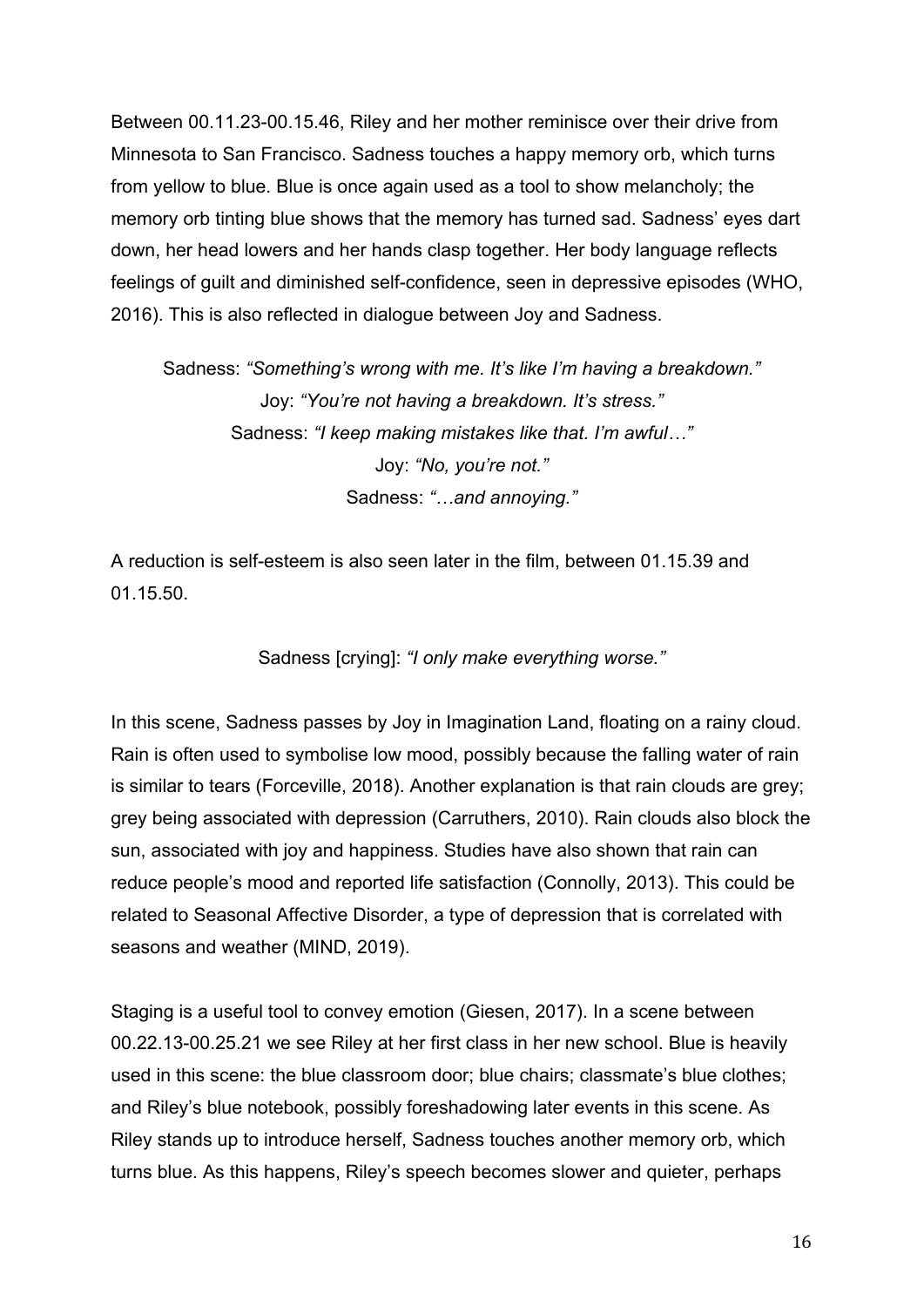Between 00.11.23-00.15.46, Riley and her mother reminisce over their drive from Minnesota to San Francisco. Sadness touches a happy memory orb, which turns from yellow to blue. Blue is once again used as a tool to show melancholy; the memory orb tinting blue shows that the memory has turned sad. Sadness' eyes dart down, her head lowers and her hands clasp together. Her body language reflects feelings of guilt and diminished self-confidence, seen in depressive episodes (WHO, 2016). This is also reflected in dialogue between Joy and Sadness.

Sadness: *"Something's wrong with me. It's like I'm having a breakdown."* Joy: *"You're not having a breakdown. It's stress."* Sadness: *"I keep making mistakes like that. I'm awful…"* Joy: *"No, you're not."* Sadness: *"…and annoying."*

A reduction is self-esteem is also seen later in the film, between 01.15.39 and 01.15.50.

Sadness [crying]: *"I only make everything worse."*

In this scene, Sadness passes by Joy in Imagination Land, floating on a rainy cloud. Rain is often used to symbolise low mood, possibly because the falling water of rain is similar to tears (Forceville, 2018). Another explanation is that rain clouds are grey; grey being associated with depression (Carruthers, 2010). Rain clouds also block the sun, associated with joy and happiness. Studies have also shown that rain can reduce people's mood and reported life satisfaction (Connolly, 2013). This could be related to Seasonal Affective Disorder, a type of depression that is correlated with seasons and weather (MIND, 2019).

Staging is a useful tool to convey emotion (Giesen, 2017). In a scene between 00.22.13-00.25.21 we see Riley at her first class in her new school. Blue is heavily used in this scene: the blue classroom door; blue chairs; classmate's blue clothes; and Riley's blue notebook, possibly foreshadowing later events in this scene. As Riley stands up to introduce herself, Sadness touches another memory orb, which turns blue. As this happens, Riley's speech becomes slower and quieter, perhaps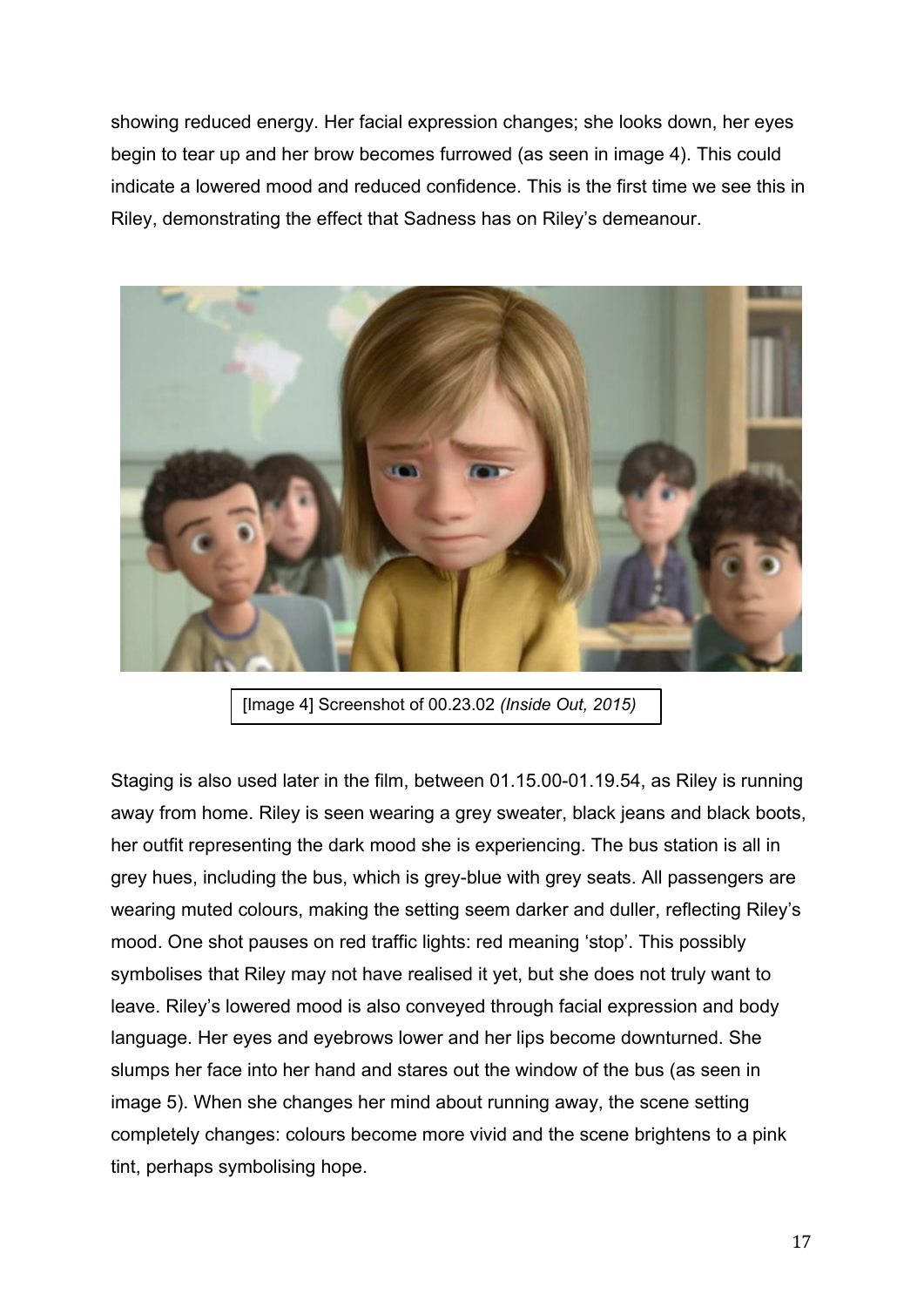showing reduced energy. Her facial expression changes; she looks down, her eyes begin to tear up and her brow becomes furrowed (as seen in image 4). This could indicate a lowered mood and reduced confidence. This is the first time we see this in Riley, demonstrating the effect that Sadness has on Riley's demeanour.



[Image 4] Screenshot of 00.23.02 *(Inside Out, 2015)*

Staging is also used later in the film, between 01.15.00-01.19.54, as Riley is running away from home. Riley is seen wearing a grey sweater, black jeans and black boots, her outfit representing the dark mood she is experiencing. The bus station is all in grey hues, including the bus, which is grey-blue with grey seats. All passengers are wearing muted colours, making the setting seem darker and duller, reflecting Riley's mood. One shot pauses on red traffic lights: red meaning 'stop'. This possibly symbolises that Riley may not have realised it yet, but she does not truly want to leave. Riley's lowered mood is also conveyed through facial expression and body language. Her eyes and eyebrows lower and her lips become downturned. She slumps her face into her hand and stares out the window of the bus (as seen in image 5). When she changes her mind about running away, the scene setting completely changes: colours become more vivid and the scene brightens to a pink tint, perhaps symbolising hope.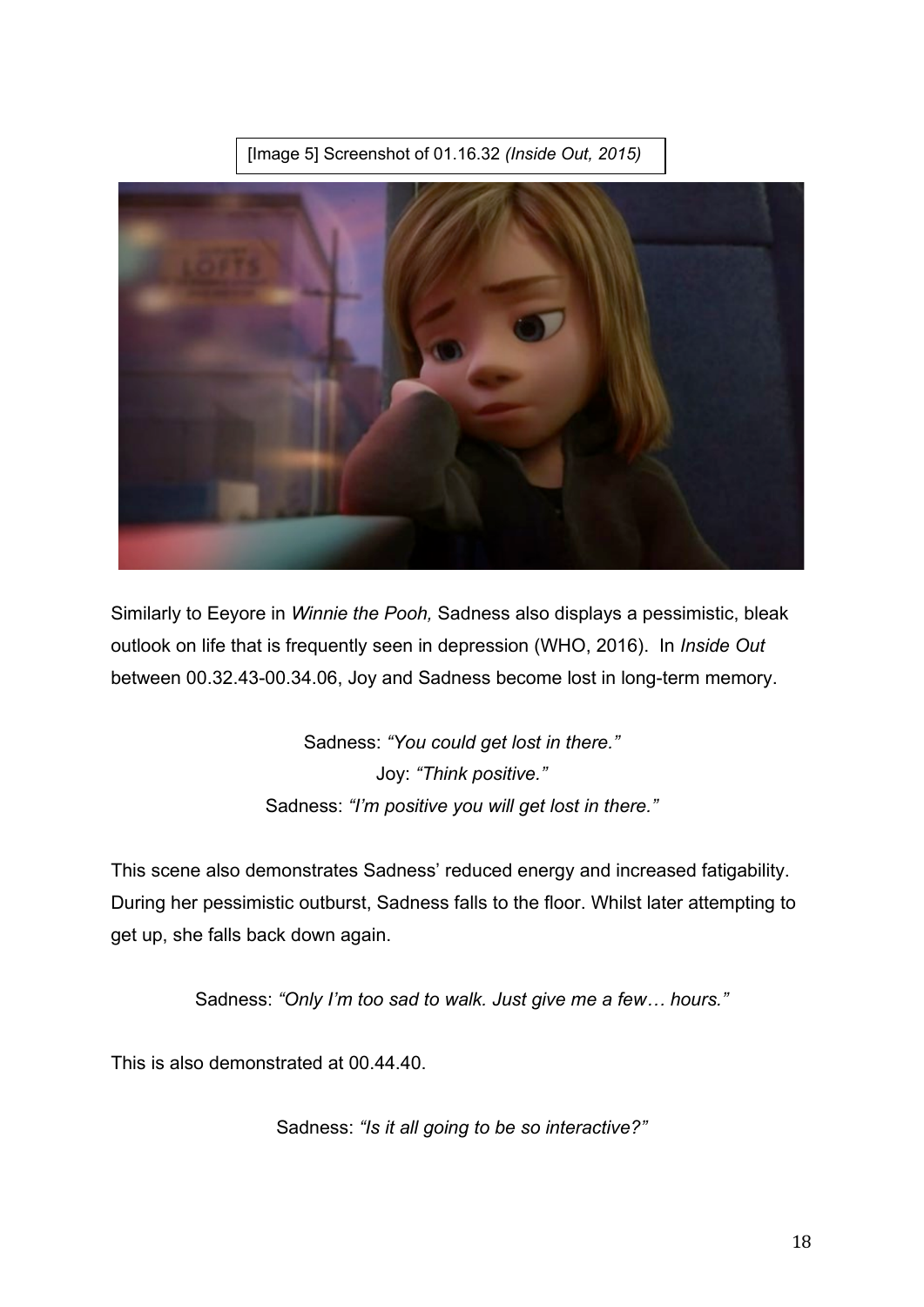



Similarly to Eeyore in *Winnie the Pooh,* Sadness also displays a pessimistic, bleak outlook on life that is frequently seen in depression (WHO, 2016). In *Inside Out* between 00.32.43-00.34.06, Joy and Sadness become lost in long-term memory.

> Sadness: *"You could get lost in there."* Joy: *"Think positive."* Sadness: *"I'm positive you will get lost in there."*

This scene also demonstrates Sadness' reduced energy and increased fatigability. During her pessimistic outburst, Sadness falls to the floor. Whilst later attempting to get up, she falls back down again.

Sadness: *"Only I'm too sad to walk. Just give me a few… hours."*

This is also demonstrated at 00.44.40.

Sadness: *"Is it all going to be so interactive?"*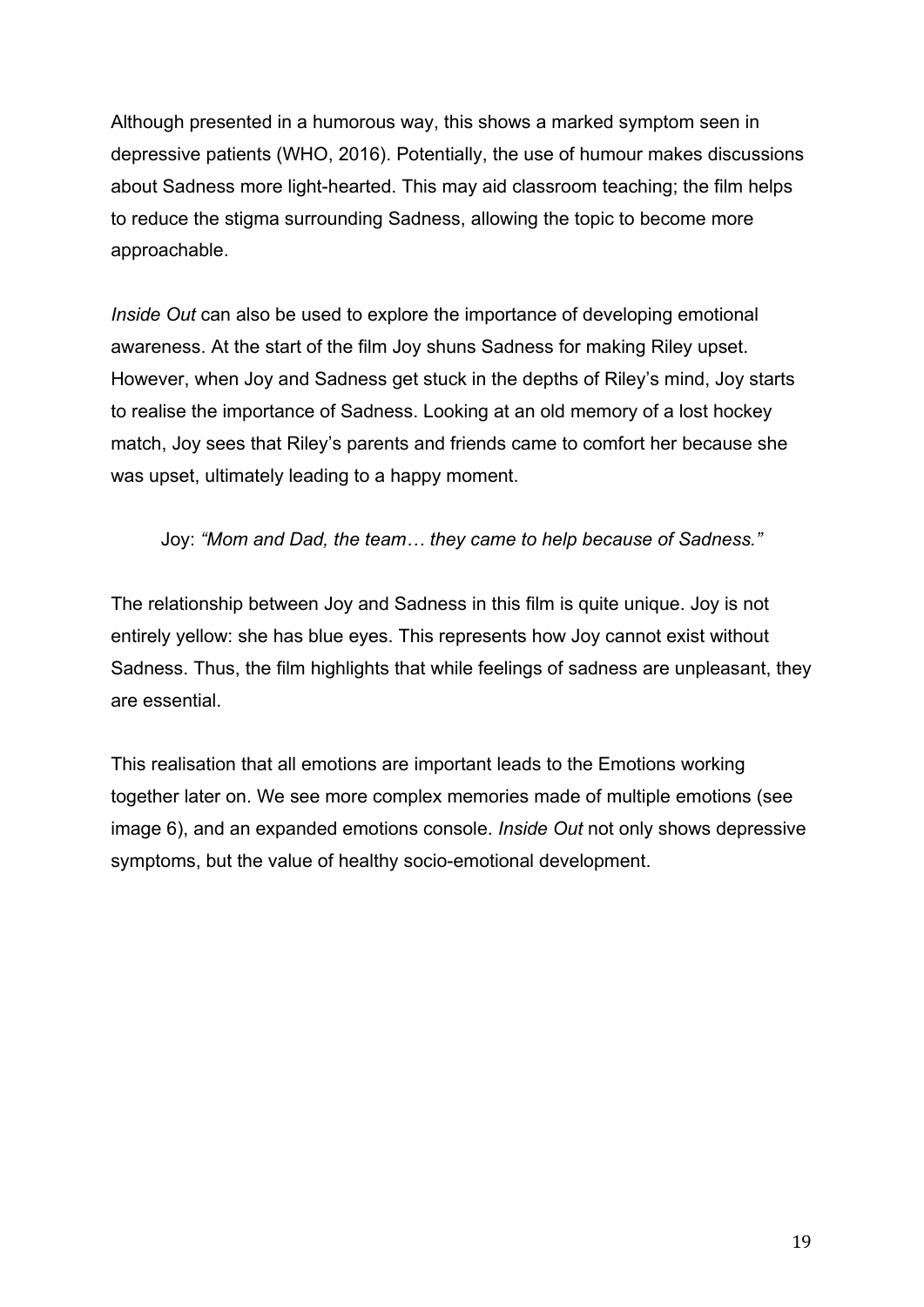Although presented in a humorous way, this shows a marked symptom seen in depressive patients (WHO, 2016). Potentially, the use of humour makes discussions about Sadness more light-hearted. This may aid classroom teaching; the film helps to reduce the stigma surrounding Sadness, allowing the topic to become more approachable.

*Inside Out* can also be used to explore the importance of developing emotional awareness. At the start of the film Joy shuns Sadness for making Riley upset. However, when Joy and Sadness get stuck in the depths of Riley's mind, Joy starts to realise the importance of Sadness. Looking at an old memory of a lost hockey match, Joy sees that Riley's parents and friends came to comfort her because she was upset, ultimately leading to a happy moment.

Joy: *"Mom and Dad, the team… they came to help because of Sadness."*

The relationship between Joy and Sadness in this film is quite unique. Joy is not entirely yellow: she has blue eyes. This represents how Joy cannot exist without Sadness. Thus, the film highlights that while feelings of sadness are unpleasant, they are essential.

This realisation that all emotions are important leads to the Emotions working together later on. We see more complex memories made of multiple emotions (see image 6), and an expanded emotions console. *Inside Out* not only shows depressive symptoms, but the value of healthy socio-emotional development.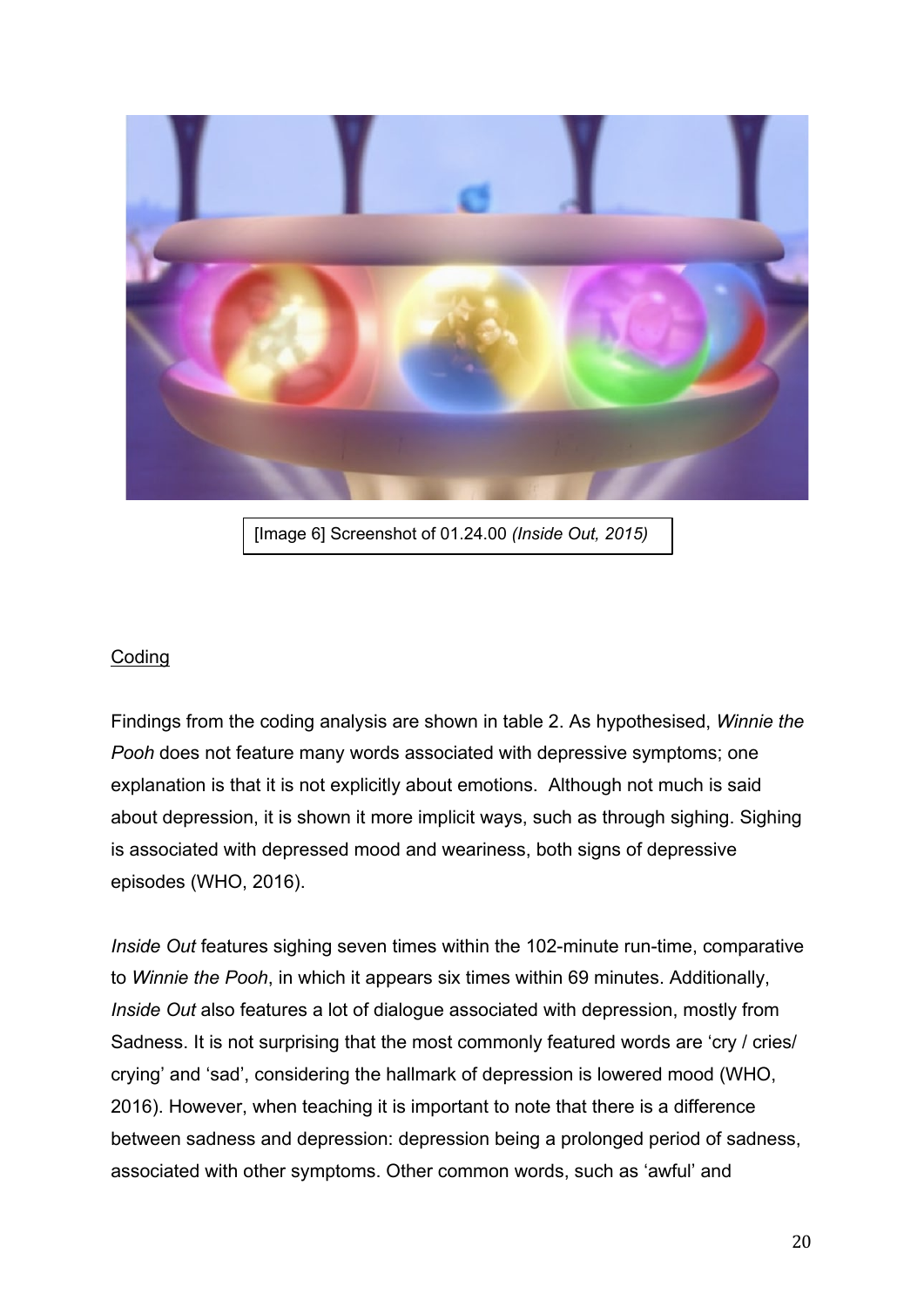

[Image 6] Screenshot of 01.24.00 *(Inside Out, 2015)*

## Coding

Findings from the coding analysis are shown in table 2. As hypothesised, *Winnie the Pooh* does not feature many words associated with depressive symptoms; one explanation is that it is not explicitly about emotions. Although not much is said about depression, it is shown it more implicit ways, such as through sighing. Sighing is associated with depressed mood and weariness, both signs of depressive episodes (WHO, 2016).

*Inside Out* features sighing seven times within the 102-minute run-time, comparative to *Winnie the Pooh*, in which it appears six times within 69 minutes. Additionally, *Inside Out* also features a lot of dialogue associated with depression, mostly from Sadness. It is not surprising that the most commonly featured words are 'cry / cries/ crying' and 'sad', considering the hallmark of depression is lowered mood (WHO, 2016). However, when teaching it is important to note that there is a difference between sadness and depression: depression being a prolonged period of sadness, associated with other symptoms. Other common words, such as 'awful' and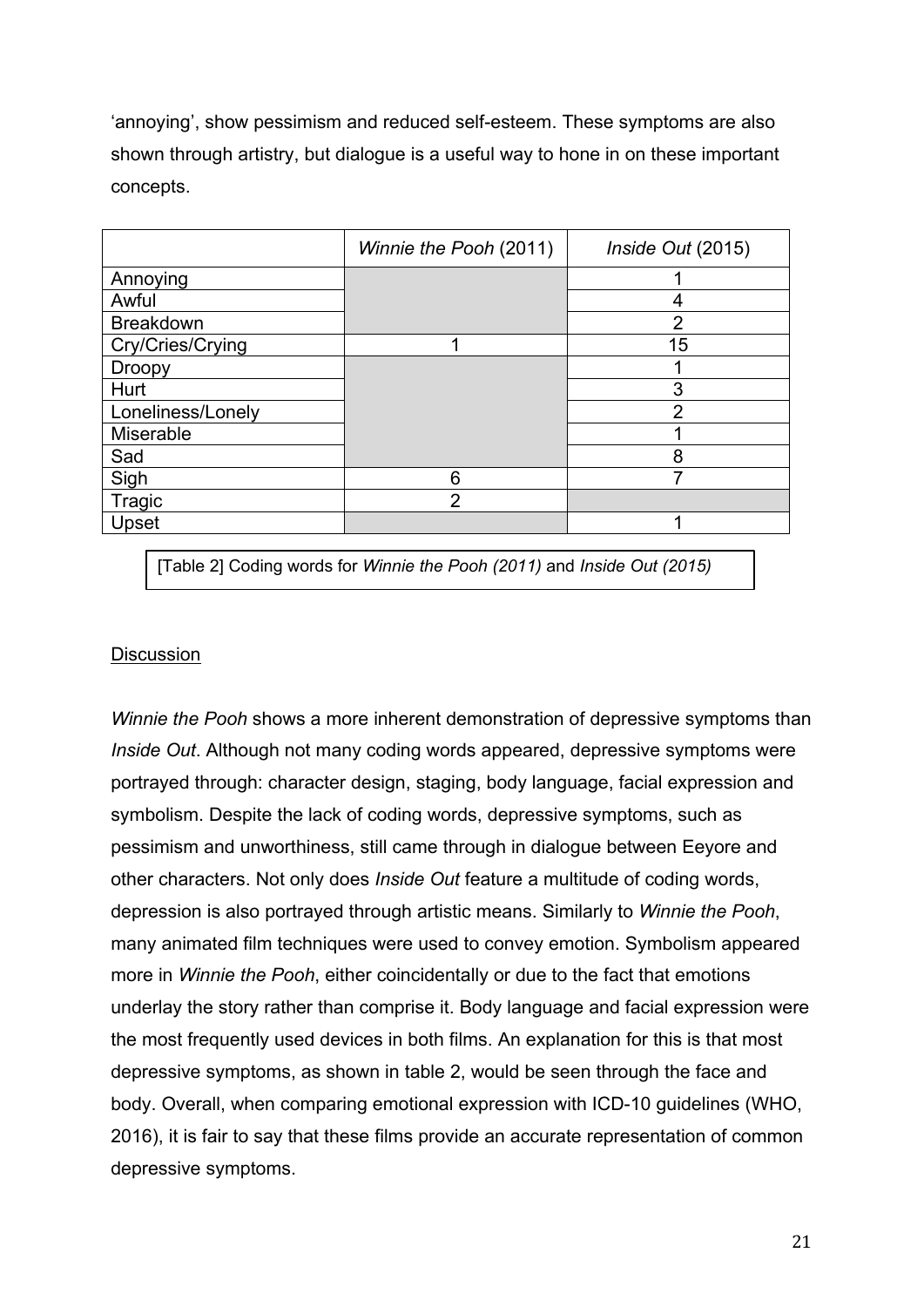'annoying', show pessimism and reduced self-esteem. These symptoms are also shown through artistry, but dialogue is a useful way to hone in on these important concepts.

|                   | Winnie the Pooh (2011) | Inside Out (2015) |
|-------------------|------------------------|-------------------|
| Annoying          |                        |                   |
| Awful             |                        | 4                 |
| <b>Breakdown</b>  |                        | $\overline{2}$    |
| Cry/Cries/Crying  |                        | 15                |
| <b>Droopy</b>     |                        |                   |
| Hurt              |                        | 3                 |
| Loneliness/Lonely |                        | $\overline{2}$    |
| Miserable         |                        |                   |
| Sad               |                        | 8                 |
| Sigh              | 6                      |                   |
| Tragic            | $\overline{2}$         |                   |
| Upset             |                        |                   |

[Table 2] Coding words for *Winnie the Pooh (2011)* and *Inside Out (2015)*

## **Discussion**

*Winnie the Pooh* shows a more inherent demonstration of depressive symptoms than *Inside Out*. Although not many coding words appeared, depressive symptoms were portrayed through: character design, staging, body language, facial expression and symbolism. Despite the lack of coding words, depressive symptoms, such as pessimism and unworthiness, still came through in dialogue between Eeyore and other characters. Not only does *Inside Out* feature a multitude of coding words, depression is also portrayed through artistic means. Similarly to *Winnie the Pooh*, many animated film techniques were used to convey emotion. Symbolism appeared more in *Winnie the Pooh*, either coincidentally or due to the fact that emotions underlay the story rather than comprise it. Body language and facial expression were the most frequently used devices in both films. An explanation for this is that most depressive symptoms, as shown in table 2, would be seen through the face and body. Overall, when comparing emotional expression with ICD-10 guidelines (WHO, 2016), it is fair to say that these films provide an accurate representation of common depressive symptoms.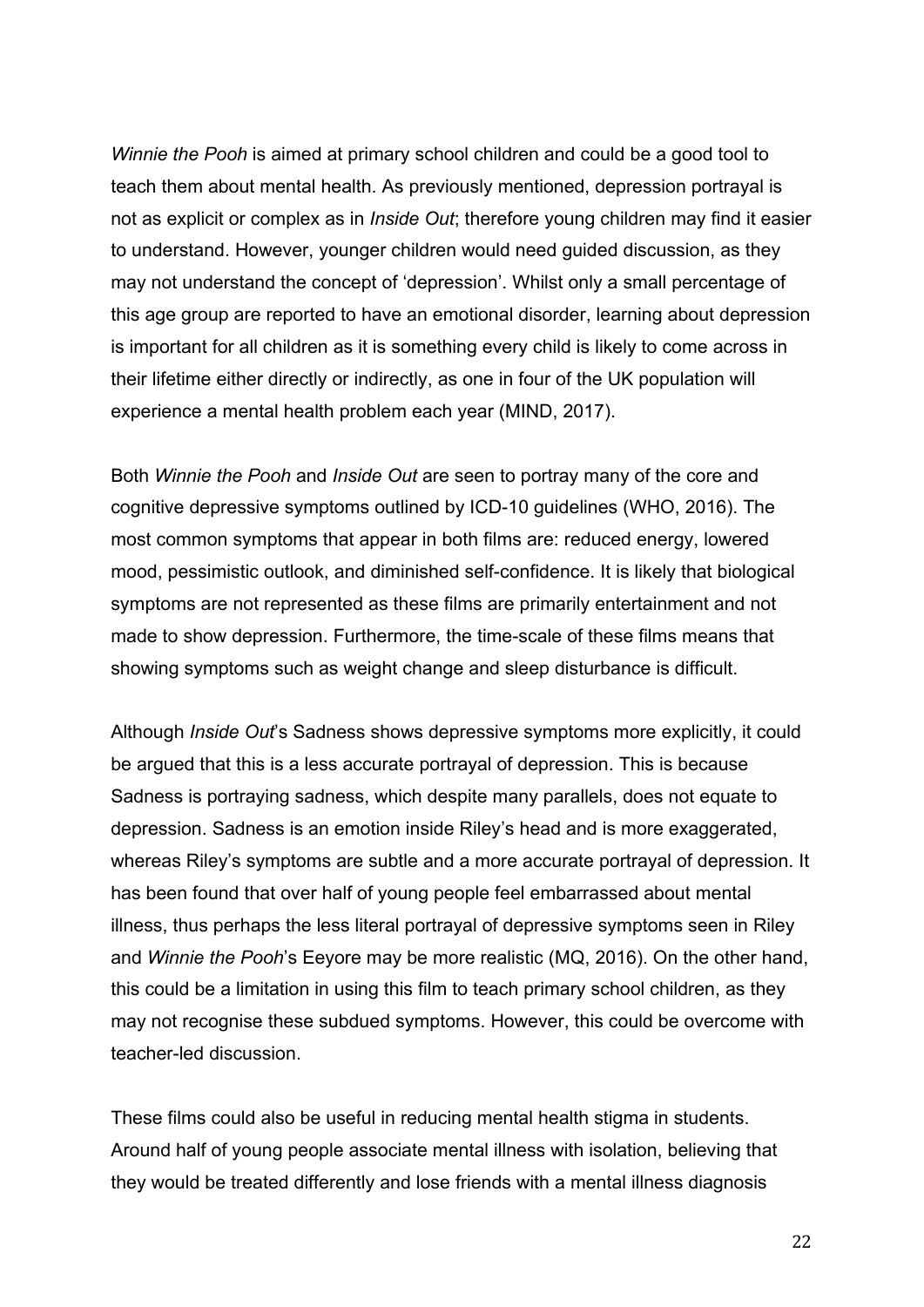*Winnie the Pooh* is aimed at primary school children and could be a good tool to teach them about mental health. As previously mentioned, depression portrayal is not as explicit or complex as in *Inside Out*; therefore young children may find it easier to understand. However, younger children would need guided discussion, as they may not understand the concept of 'depression'. Whilst only a small percentage of this age group are reported to have an emotional disorder, learning about depression is important for all children as it is something every child is likely to come across in their lifetime either directly or indirectly, as one in four of the UK population will experience a mental health problem each year (MIND, 2017).

Both *Winnie the Pooh* and *Inside Out* are seen to portray many of the core and cognitive depressive symptoms outlined by ICD-10 guidelines (WHO, 2016). The most common symptoms that appear in both films are: reduced energy, lowered mood, pessimistic outlook, and diminished self-confidence. It is likely that biological symptoms are not represented as these films are primarily entertainment and not made to show depression. Furthermore, the time-scale of these films means that showing symptoms such as weight change and sleep disturbance is difficult.

Although *Inside Out*'s Sadness shows depressive symptoms more explicitly, it could be argued that this is a less accurate portrayal of depression. This is because Sadness is portraying sadness, which despite many parallels, does not equate to depression. Sadness is an emotion inside Riley's head and is more exaggerated, whereas Riley's symptoms are subtle and a more accurate portrayal of depression. It has been found that over half of young people feel embarrassed about mental illness, thus perhaps the less literal portrayal of depressive symptoms seen in Riley and *Winnie the Pooh*'s Eeyore may be more realistic (MQ, 2016). On the other hand, this could be a limitation in using this film to teach primary school children, as they may not recognise these subdued symptoms. However, this could be overcome with teacher-led discussion.

These films could also be useful in reducing mental health stigma in students. Around half of young people associate mental illness with isolation, believing that they would be treated differently and lose friends with a mental illness diagnosis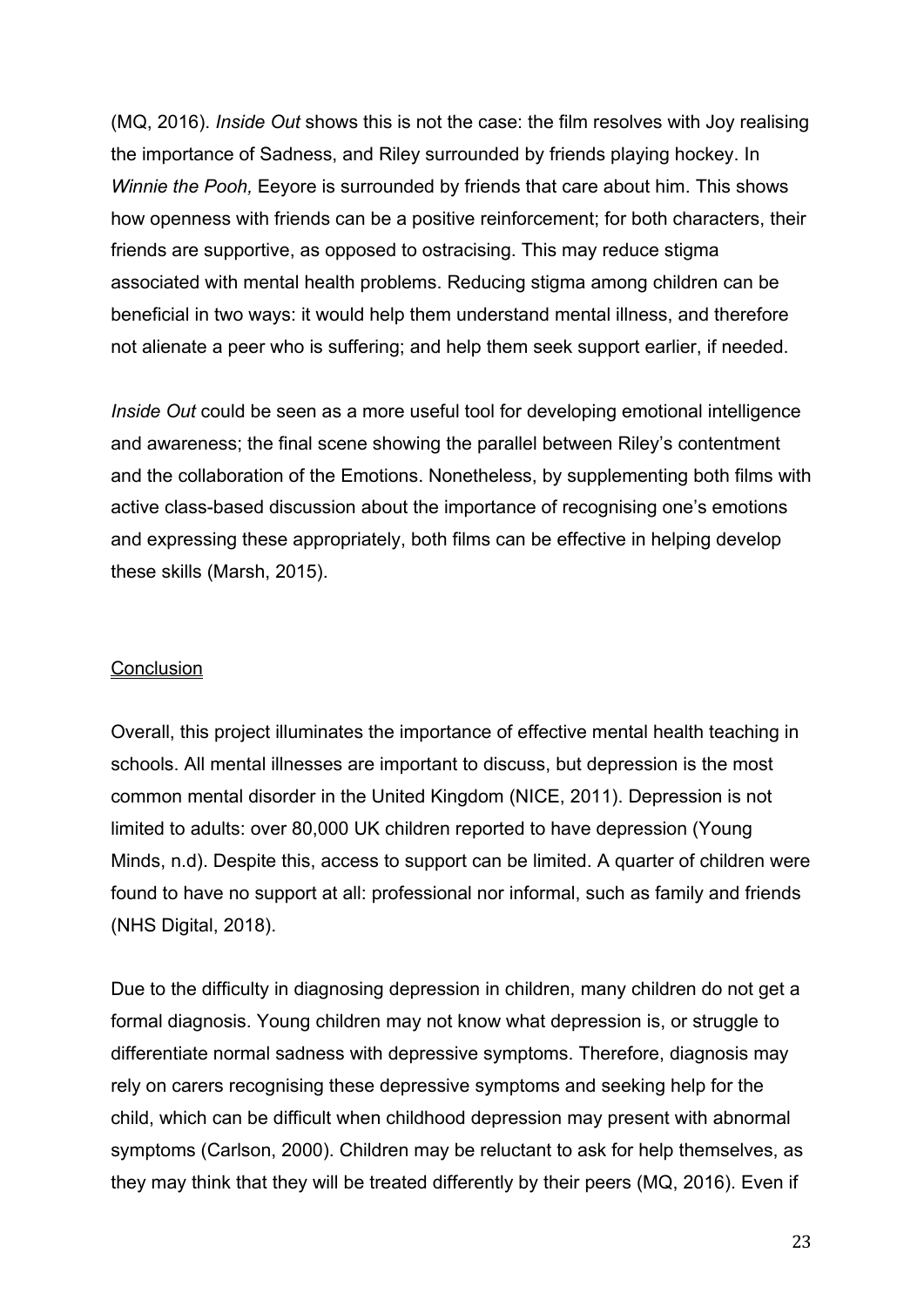(MQ, 2016). *Inside Out* shows this is not the case: the film resolves with Joy realising the importance of Sadness, and Riley surrounded by friends playing hockey. In *Winnie the Pooh,* Eeyore is surrounded by friends that care about him. This shows how openness with friends can be a positive reinforcement; for both characters, their friends are supportive, as opposed to ostracising. This may reduce stigma associated with mental health problems. Reducing stigma among children can be beneficial in two ways: it would help them understand mental illness, and therefore not alienate a peer who is suffering; and help them seek support earlier, if needed.

*Inside Out* could be seen as a more useful tool for developing emotional intelligence and awareness; the final scene showing the parallel between Riley's contentment and the collaboration of the Emotions. Nonetheless, by supplementing both films with active class-based discussion about the importance of recognising one's emotions and expressing these appropriately, both films can be effective in helping develop these skills (Marsh, 2015).

### **Conclusion**

Overall, this project illuminates the importance of effective mental health teaching in schools. All mental illnesses are important to discuss, but depression is the most common mental disorder in the United Kingdom (NICE, 2011). Depression is not limited to adults: over 80,000 UK children reported to have depression (Young Minds, n.d). Despite this, access to support can be limited. A quarter of children were found to have no support at all: professional nor informal, such as family and friends (NHS Digital, 2018).

Due to the difficulty in diagnosing depression in children, many children do not get a formal diagnosis. Young children may not know what depression is, or struggle to differentiate normal sadness with depressive symptoms. Therefore, diagnosis may rely on carers recognising these depressive symptoms and seeking help for the child, which can be difficult when childhood depression may present with abnormal symptoms (Carlson, 2000). Children may be reluctant to ask for help themselves, as they may think that they will be treated differently by their peers (MQ, 2016). Even if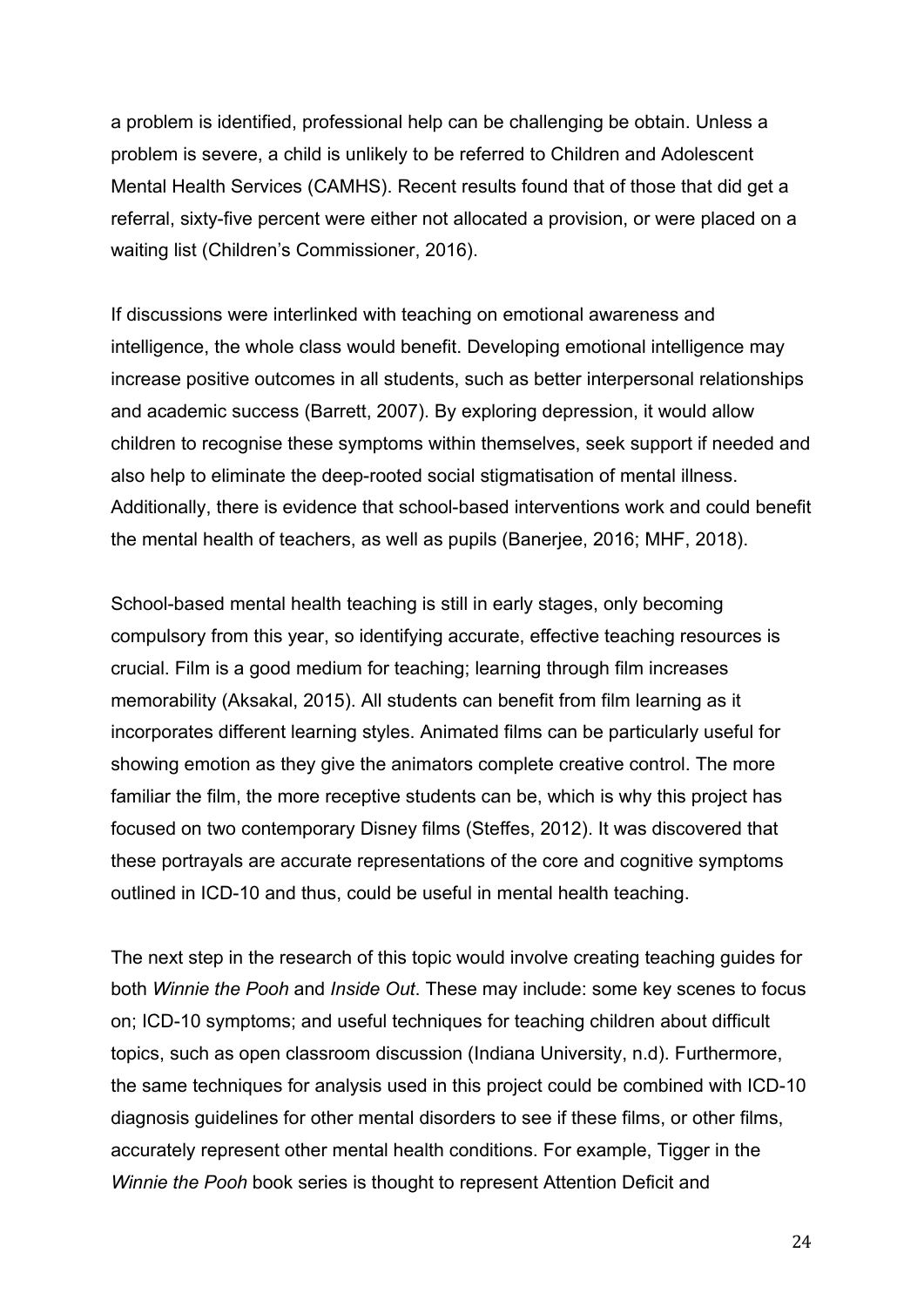a problem is identified, professional help can be challenging be obtain. Unless a problem is severe, a child is unlikely to be referred to Children and Adolescent Mental Health Services (CAMHS). Recent results found that of those that did get a referral, sixty-five percent were either not allocated a provision, or were placed on a waiting list (Children's Commissioner, 2016).

If discussions were interlinked with teaching on emotional awareness and intelligence, the whole class would benefit. Developing emotional intelligence may increase positive outcomes in all students, such as better interpersonal relationships and academic success (Barrett, 2007). By exploring depression, it would allow children to recognise these symptoms within themselves, seek support if needed and also help to eliminate the deep-rooted social stigmatisation of mental illness. Additionally, there is evidence that school-based interventions work and could benefit the mental health of teachers, as well as pupils (Banerjee, 2016; MHF, 2018).

School-based mental health teaching is still in early stages, only becoming compulsory from this year, so identifying accurate, effective teaching resources is crucial. Film is a good medium for teaching; learning through film increases memorability (Aksakal, 2015). All students can benefit from film learning as it incorporates different learning styles. Animated films can be particularly useful for showing emotion as they give the animators complete creative control. The more familiar the film, the more receptive students can be, which is why this project has focused on two contemporary Disney films (Steffes, 2012). It was discovered that these portrayals are accurate representations of the core and cognitive symptoms outlined in ICD-10 and thus, could be useful in mental health teaching.

The next step in the research of this topic would involve creating teaching guides for both *Winnie the Pooh* and *Inside Out*. These may include: some key scenes to focus on; ICD-10 symptoms; and useful techniques for teaching children about difficult topics, such as open classroom discussion (Indiana University, n.d). Furthermore, the same techniques for analysis used in this project could be combined with ICD-10 diagnosis guidelines for other mental disorders to see if these films, or other films, accurately represent other mental health conditions. For example, Tigger in the *Winnie the Pooh* book series is thought to represent Attention Deficit and

24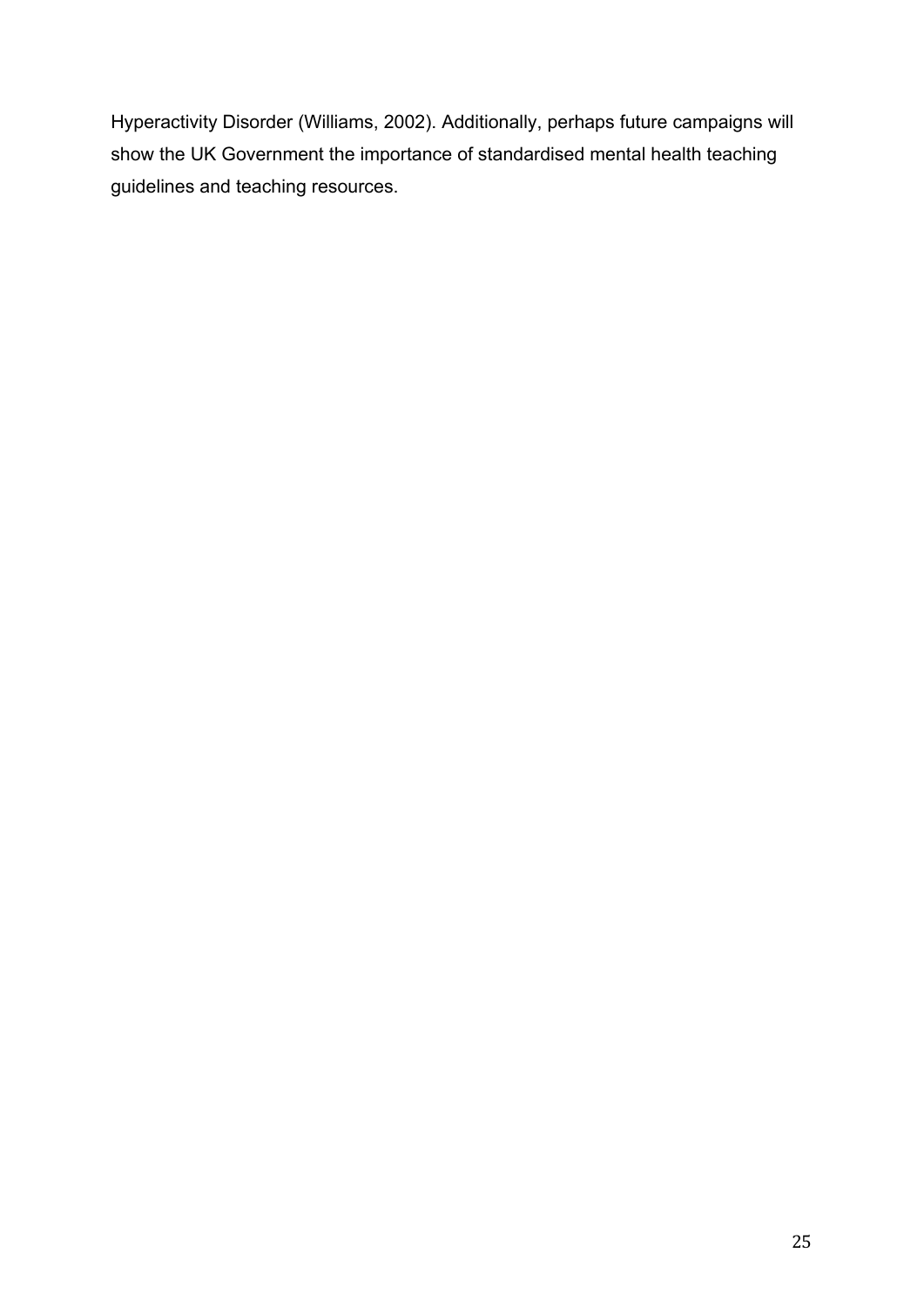Hyperactivity Disorder (Williams, 2002). Additionally, perhaps future campaigns will show the UK Government the importance of standardised mental health teaching guidelines and teaching resources.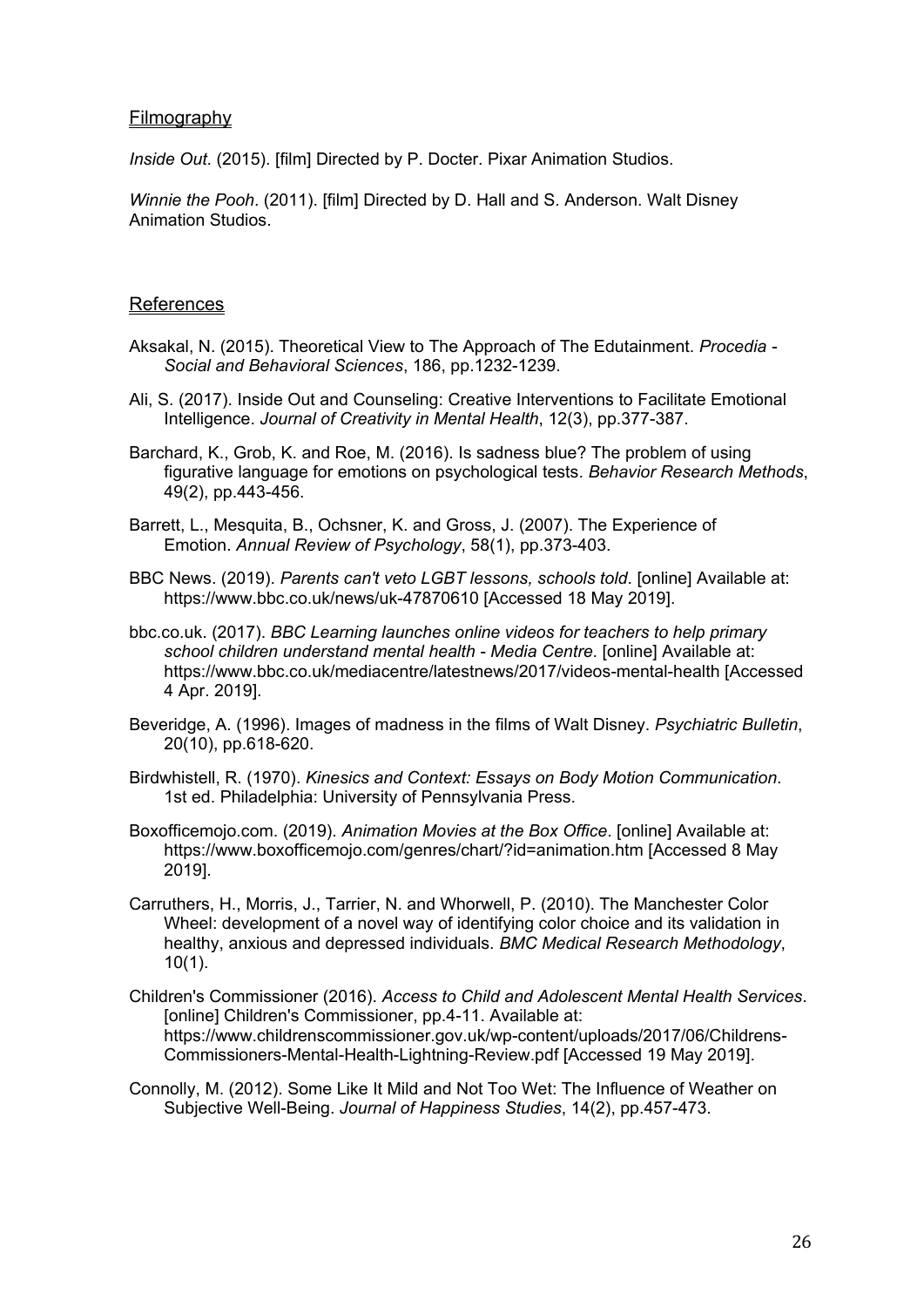#### **Filmography**

*Inside Out*. (2015). [film] Directed by P. Docter. Pixar Animation Studios.

*Winnie the Pooh*. (2011). [film] Directed by D. Hall and S. Anderson. Walt Disney Animation Studios.

#### References

- Aksakal, N. (2015). Theoretical View to The Approach of The Edutainment. *Procedia - Social and Behavioral Sciences*, 186, pp.1232-1239.
- Ali, S. (2017). Inside Out and Counseling: Creative Interventions to Facilitate Emotional Intelligence. *Journal of Creativity in Mental Health*, 12(3), pp.377-387.
- Barchard, K., Grob, K. and Roe, M. (2016). Is sadness blue? The problem of using figurative language for emotions on psychological tests. *Behavior Research Methods*, 49(2), pp.443-456.
- Barrett, L., Mesquita, B., Ochsner, K. and Gross, J. (2007). The Experience of Emotion. *Annual Review of Psychology*, 58(1), pp.373-403.
- BBC News. (2019). *Parents can't veto LGBT lessons, schools told*. [online] Available at: https://www.bbc.co.uk/news/uk-47870610 [Accessed 18 May 2019].
- bbc.co.uk. (2017). *BBC Learning launches online videos for teachers to help primary school children understand mental health - Media Centre*. [online] Available at: https://www.bbc.co.uk/mediacentre/latestnews/2017/videos-mental-health [Accessed 4 Apr. 2019].
- Beveridge, A. (1996). Images of madness in the films of Walt Disney. *Psychiatric Bulletin*, 20(10), pp.618-620.
- Birdwhistell, R. (1970). *Kinesics and Context: Essays on Body Motion Communication*. 1st ed. Philadelphia: University of Pennsylvania Press.
- Boxofficemojo.com. (2019). *Animation Movies at the Box Office*. [online] Available at: https://www.boxofficemojo.com/genres/chart/?id=animation.htm [Accessed 8 May 2019].
- Carruthers, H., Morris, J., Tarrier, N. and Whorwell, P. (2010). The Manchester Color Wheel: development of a novel way of identifying color choice and its validation in healthy, anxious and depressed individuals. *BMC Medical Research Methodology*, 10(1).
- Children's Commissioner (2016). *Access to Child and Adolescent Mental Health Services*. [online] Children's Commissioner, pp.4-11. Available at: https://www.childrenscommissioner.gov.uk/wp-content/uploads/2017/06/Childrens-Commissioners-Mental-Health-Lightning-Review.pdf [Accessed 19 May 2019].
- Connolly, M. (2012). Some Like It Mild and Not Too Wet: The Influence of Weather on Subjective Well-Being. *Journal of Happiness Studies*, 14(2), pp.457-473.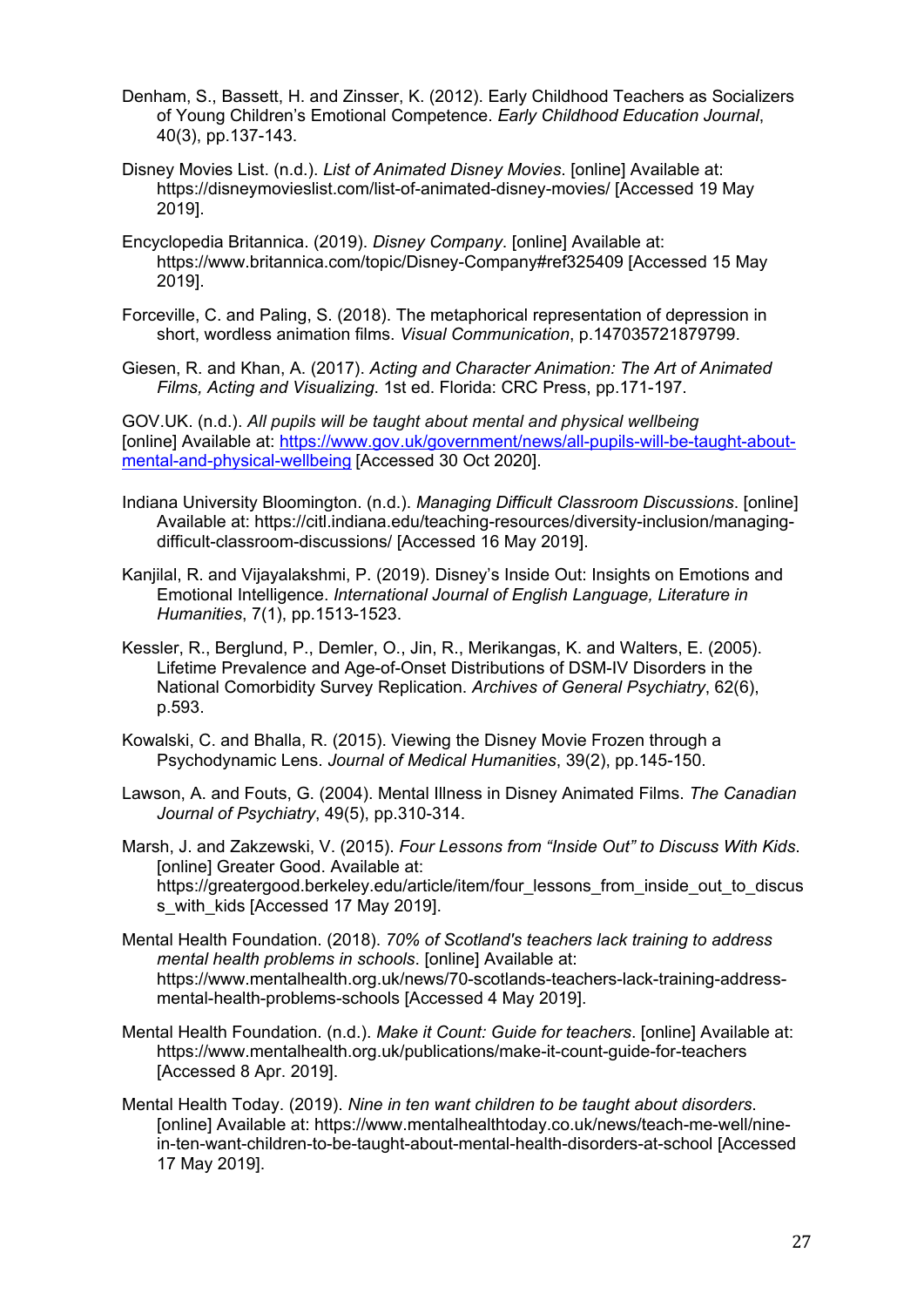- Denham, S., Bassett, H. and Zinsser, K. (2012). Early Childhood Teachers as Socializers of Young Children's Emotional Competence. *Early Childhood Education Journal*, 40(3), pp.137-143.
- Disney Movies List. (n.d.). *List of Animated Disney Movies*. [online] Available at: https://disneymovieslist.com/list-of-animated-disney-movies/ [Accessed 19 May 2019].
- Encyclopedia Britannica. (2019). *Disney Company*. [online] Available at: https://www.britannica.com/topic/Disney-Company#ref325409 [Accessed 15 May 2019].
- Forceville, C. and Paling, S. (2018). The metaphorical representation of depression in short, wordless animation films. *Visual Communication*, p.147035721879799.

Giesen, R. and Khan, A. (2017). *Acting and Character Animation: The Art of Animated Films, Acting and Visualizing*. 1st ed. Florida: CRC Press, pp.171-197.

GOV.UK. (n.d.). *All pupils will be taught about mental and physical wellbeing* [online] Available at: [https://www.gov.uk/government/news/all-pupils-will-be-taught-about](https://www.gov.uk/government/news/all-pupils-will-be-taught-about-mental-and-physical-wellbeing)[mental-and-physical-wellbeing](https://www.gov.uk/government/news/all-pupils-will-be-taught-about-mental-and-physical-wellbeing) [Accessed 30 Oct 2020].

Indiana University Bloomington. (n.d.). *Managing Difficult Classroom Discussions*. [online] Available at: https://citl.indiana.edu/teaching-resources/diversity-inclusion/managingdifficult-classroom-discussions/ [Accessed 16 May 2019].

Kanjilal, R. and Vijayalakshmi, P. (2019). Disney's Inside Out: Insights on Emotions and Emotional Intelligence. *International Journal of English Language, Literature in Humanities*, 7(1), pp.1513-1523.

- Kessler, R., Berglund, P., Demler, O., Jin, R., Merikangas, K. and Walters, E. (2005). Lifetime Prevalence and Age-of-Onset Distributions of DSM-IV Disorders in the National Comorbidity Survey Replication. *Archives of General Psychiatry*, 62(6), p.593.
- Kowalski, C. and Bhalla, R. (2015). Viewing the Disney Movie Frozen through a Psychodynamic Lens. *Journal of Medical Humanities*, 39(2), pp.145-150.
- Lawson, A. and Fouts, G. (2004). Mental Illness in Disney Animated Films. *The Canadian Journal of Psychiatry*, 49(5), pp.310-314.

Marsh, J. and Zakzewski, V. (2015). *Four Lessons from "Inside Out" to Discuss With Kids*. [online] Greater Good. Available at: https://greatergood.berkeley.edu/article/item/four\_lessons\_from\_inside\_out\_to\_discus s\_with\_kids [Accessed 17 May 2019].

- Mental Health Foundation. (2018). *70% of Scotland's teachers lack training to address mental health problems in schools*. [online] Available at: https://www.mentalhealth.org.uk/news/70-scotlands-teachers-lack-training-addressmental-health-problems-schools [Accessed 4 May 2019].
- Mental Health Foundation. (n.d.). *Make it Count: Guide for teachers*. [online] Available at: https://www.mentalhealth.org.uk/publications/make-it-count-guide-for-teachers [Accessed 8 Apr. 2019].
- Mental Health Today. (2019). *Nine in ten want children to be taught about disorders*. [online] Available at: https://www.mentalhealthtoday.co.uk/news/teach-me-well/ninein-ten-want-children-to-be-taught-about-mental-health-disorders-at-school [Accessed 17 May 2019].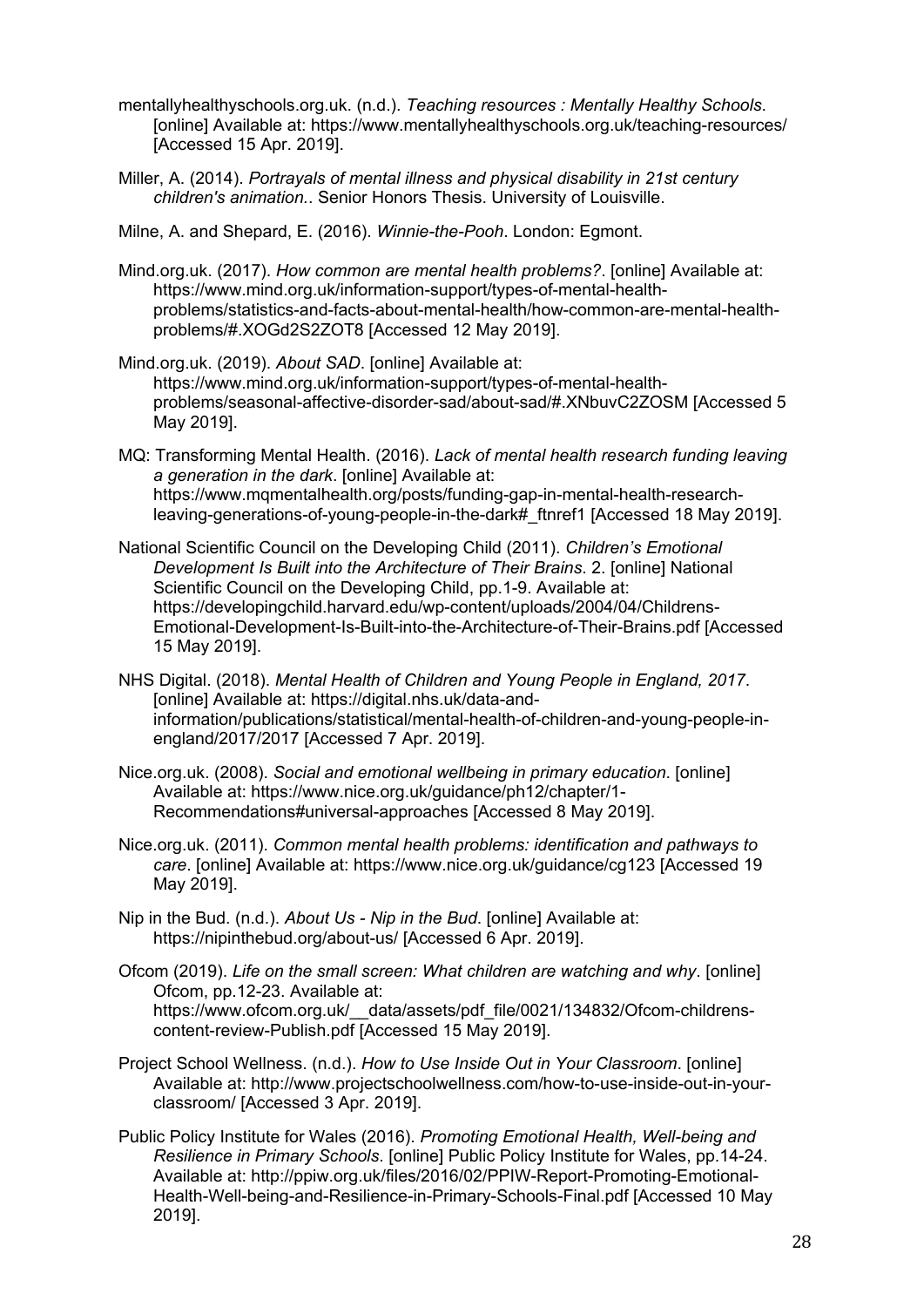- mentallyhealthyschools.org.uk. (n.d.). *Teaching resources : Mentally Healthy Schools*. [online] Available at: https://www.mentallyhealthyschools.org.uk/teaching-resources/ [Accessed 15 Apr. 2019].
- Miller, A. (2014). *Portrayals of mental illness and physical disability in 21st century children's animation.*. Senior Honors Thesis. University of Louisville.
- Milne, A. and Shepard, E. (2016). *Winnie-the-Pooh*. London: Egmont.
- Mind.org.uk. (2017). *How common are mental health problems?*. [online] Available at: https://www.mind.org.uk/information-support/types-of-mental-healthproblems/statistics-and-facts-about-mental-health/how-common-are-mental-healthproblems/#.XOGd2S2ZOT8 [Accessed 12 May 2019].
- Mind.org.uk. (2019). *About SAD*. [online] Available at: https://www.mind.org.uk/information-support/types-of-mental-healthproblems/seasonal-affective-disorder-sad/about-sad/#.XNbuvC2ZOSM [Accessed 5 May 2019].
- MQ: Transforming Mental Health. (2016). *Lack of mental health research funding leaving a generation in the dark*. [online] Available at: https://www.mqmentalhealth.org/posts/funding-gap-in-mental-health-researchleaving-generations-of-young-people-in-the-dark#\_ftnref1 [Accessed 18 May 2019].
- National Scientific Council on the Developing Child (2011). *Children's Emotional Development Is Built into the Architecture of Their Brains*. 2. [online] National Scientific Council on the Developing Child, pp.1-9. Available at: https://developingchild.harvard.edu/wp-content/uploads/2004/04/Childrens-Emotional-Development-Is-Built-into-the-Architecture-of-Their-Brains.pdf [Accessed 15 May 2019].
- NHS Digital. (2018). *Mental Health of Children and Young People in England, 2017*. [online] Available at: https://digital.nhs.uk/data-andinformation/publications/statistical/mental-health-of-children-and-young-people-inengland/2017/2017 [Accessed 7 Apr. 2019].
- Nice.org.uk. (2008). *Social and emotional wellbeing in primary education*. [online] Available at: https://www.nice.org.uk/guidance/ph12/chapter/1- Recommendations#universal-approaches [Accessed 8 May 2019].
- Nice.org.uk. (2011). *Common mental health problems: identification and pathways to care*. [online] Available at: https://www.nice.org.uk/guidance/cg123 [Accessed 19 May 2019].
- Nip in the Bud. (n.d.). *About Us - Nip in the Bud*. [online] Available at: https://nipinthebud.org/about-us/ [Accessed 6 Apr. 2019].
- Ofcom (2019). *Life on the small screen: What children are watching and why*. [online] Ofcom, pp.12-23. Available at: https://www.ofcom.org.uk/ data/assets/pdf\_file/0021/134832/Ofcom-childrenscontent-review-Publish.pdf [Accessed 15 May 2019].
- Project School Wellness. (n.d.). *How to Use Inside Out in Your Classroom*. [online] Available at: http://www.projectschoolwellness.com/how-to-use-inside-out-in-yourclassroom/ [Accessed 3 Apr. 2019].
- Public Policy Institute for Wales (2016). *Promoting Emotional Health, Well-being and Resilience in Primary Schools*. [online] Public Policy Institute for Wales, pp.14-24. Available at: http://ppiw.org.uk/files/2016/02/PPIW-Report-Promoting-Emotional-Health-Well-being-and-Resilience-in-Primary-Schools-Final.pdf [Accessed 10 May 2019].